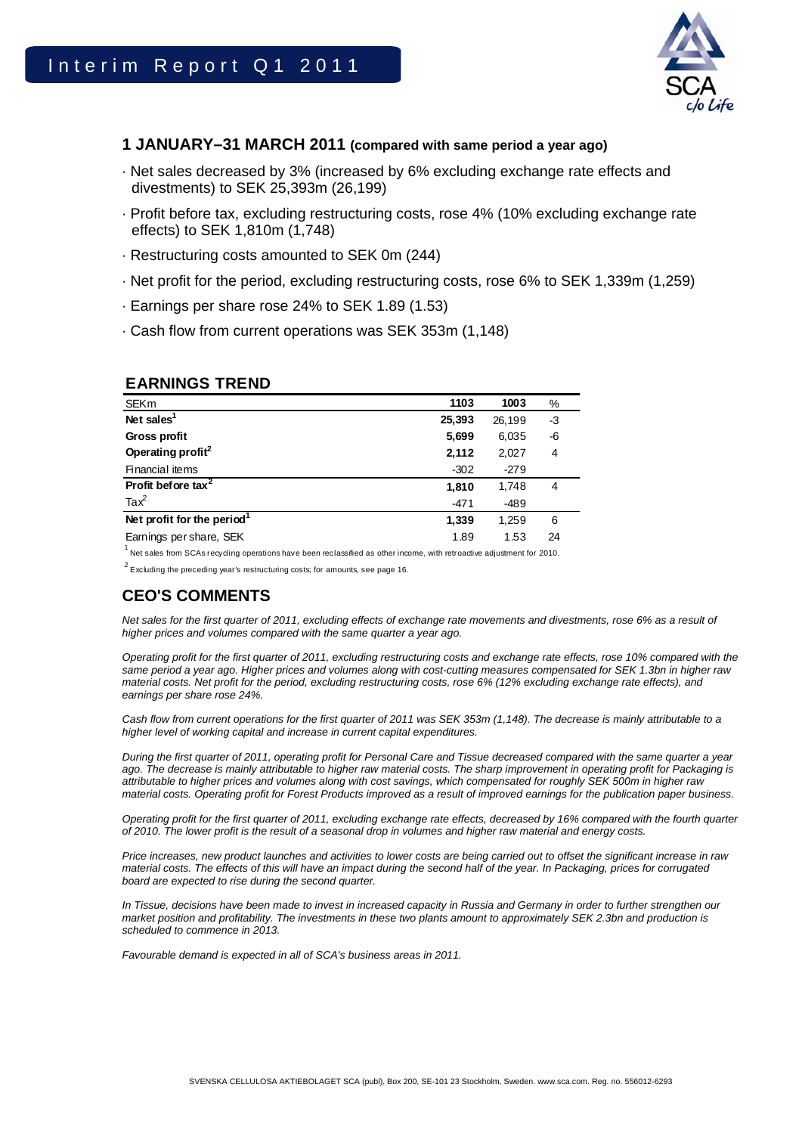

## **1 JANUARY–31 MARCH 2011 (compared with same period a year ago)**

- · Net sales decreased by 3% (increased by 6% excluding exchange rate effects and divestments) to SEK 25,393m (26,199)
- · Profit before tax, excluding restructuring costs, rose 4% (10% excluding exchange rate effects) to SEK 1,810m (1,748)
- · Restructuring costs amounted to SEK 0m (244)
- · Net profit for the period, excluding restructuring costs, rose 6% to SEK 1,339m (1,259)
- · Earnings per share rose 24% to SEK 1.89 (1.53)
- · Cash flow from current operations was SEK 353m (1,148)

| <b>SEKm</b>                            | 1103   | 1003   | %    |
|----------------------------------------|--------|--------|------|
| Net sales <sup>1</sup>                 | 25,393 | 26,199 | $-3$ |
| Gross profit                           | 5,699  | 6,035  | -6   |
| Operating profit <sup>2</sup>          | 2,112  | 2,027  | 4    |
| Financial items                        | $-302$ | $-279$ |      |
| Profit before tax <sup>2</sup>         | 1,810  | 1,748  | 4    |
| Ta $x^2$                               | $-471$ | $-489$ |      |
| Net profit for the period <sup>1</sup> | 1,339  | 1,259  | 6    |
| Earnings per share, SEK                | 1.89   | 1.53   | 24   |
|                                        |        |        |      |

## **EARNINGS TREND**

 $<sup>1</sup>$  Net sales from SCAs recycling operations have been reclassified as other income, with retroactive adjustment for 2010.</sup>

 $2^{2}$  Excluding the preceding year's restructuring costs; for amounts, see page 16.

# **CEO'S COMMENTS**

*Net sales for the first quarter of 2011, excluding effects of exchange rate movements and divestments, rose 6% as a result of higher prices and volumes compared with the same quarter a year ago.* 

*Operating profit for the first quarter of 2011, excluding restructuring costs and exchange rate effects, rose 10% compared with the same period a year ago. Higher prices and volumes along with cost-cutting measures compensated for SEK 1.3bn in higher raw material costs. Net profit for the period, excluding restructuring costs, rose 6% (12% excluding exchange rate effects), and earnings per share rose 24%.* 

*Cash flow from current operations for the first quarter of 2011 was SEK 353m (1,148). The decrease is mainly attributable to a higher level of working capital and increase in current capital expenditures.* 

*During the first quarter of 2011, operating profit for Personal Care and Tissue decreased compared with the same quarter a year ago. The decrease is mainly attributable to higher raw material costs. The sharp improvement in operating profit for Packaging is attributable to higher prices and volumes along with cost savings, which compensated for roughly SEK 500m in higher raw material costs. Operating profit for Forest Products improved as a result of improved earnings for the publication paper business.* 

*Operating profit for the first quarter of 2011, excluding exchange rate effects, decreased by 16% compared with the fourth quarter of 2010. The lower profit is the result of a seasonal drop in volumes and higher raw material and energy costs.* 

*Price increases, new product launches and activities to lower costs are being carried out to offset the significant increase in raw material costs. The effects of this will have an impact during the second half of the year. In Packaging, prices for corrugated board are expected to rise during the second quarter.* 

*In Tissue, decisions have been made to invest in increased capacity in Russia and Germany in order to further strengthen our market position and profitability. The investments in these two plants amount to approximately SEK 2.3bn and production is scheduled to commence in 2013.* 

*Favourable demand is expected in all of SCA's business areas in 2011.*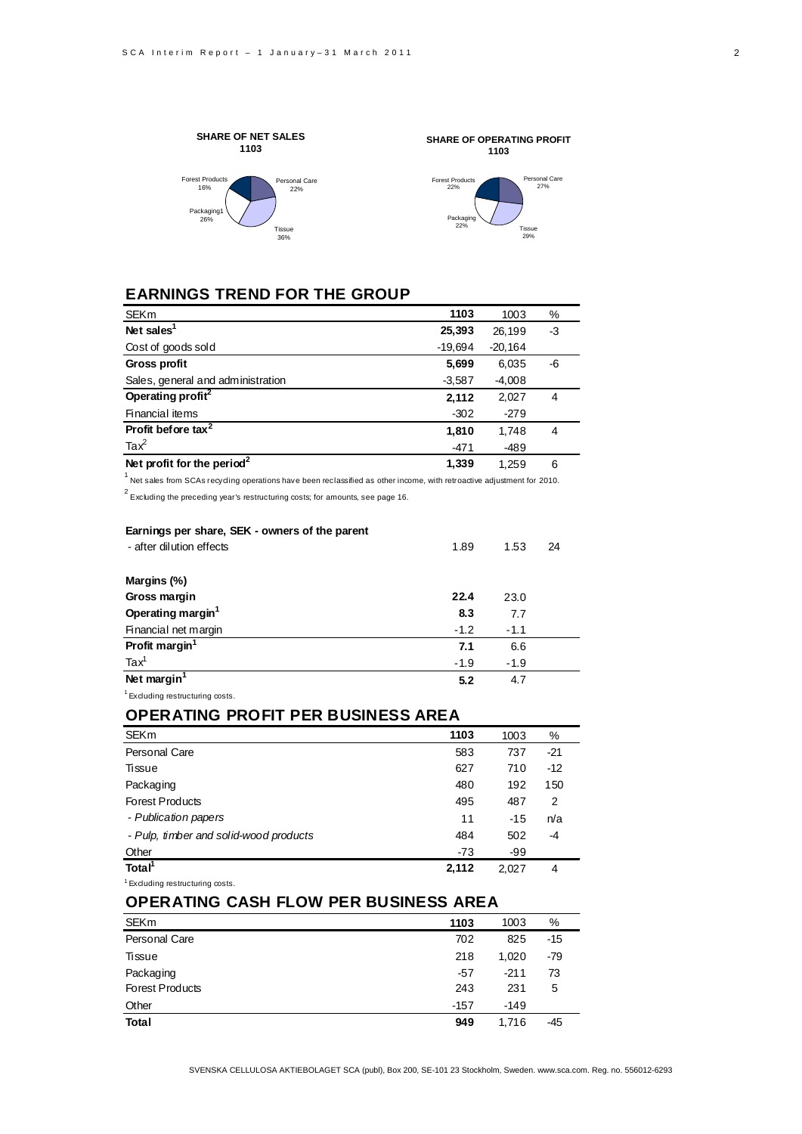



**SHARE OF OPERATING PROFIT**

# **EARNINGS TREND FOR THE GROUP**

| <b>SEKm</b>                            | 1103      | 1003      | %    |
|----------------------------------------|-----------|-----------|------|
| Net sales <sup>1</sup>                 | 25,393    | 26.199    | $-3$ |
| Cost of goods sold                     | $-19,694$ | $-20,164$ |      |
| <b>Gross profit</b>                    | 5,699     | 6,035     | -6   |
| Sales, general and administration      | $-3,587$  | $-4,008$  |      |
| Operating profit <sup>2</sup>          | 2,112     | 2,027     | 4    |
| Financial items                        | $-302$    | $-279$    |      |
| Profit before tax <sup>2</sup>         | 1,810     | 1,748     | 4    |
| $\text{Tax}^2$                         | $-471$    | $-489$    |      |
| Net profit for the period <sup>2</sup> | 1.339     | 1.259     | 6    |

<sup>1</sup> Net sales from SCAs recycling operations have been reclassified as other income, with retroactive adjustment for 2010.

 $2^{2}$  Excluding the preceding year's restructuring costs; for amounts, see page 16.

### **Earnings per share, SEK - owners of the parent**

| Net margin <sup>1</sup>       | 5.2    | 4.7    |    |
|-------------------------------|--------|--------|----|
| Tax <sup>1</sup>              | $-1.9$ | $-1.9$ |    |
| Profit margin <sup>1</sup>    | 7.1    | 6.6    |    |
| Financial net margin          | $-1.2$ | $-1.1$ |    |
| Operating margin <sup>1</sup> | 8.3    | 7.7    |    |
| Gross margin                  | 22.4   | 23.0   |    |
| Margins (%)                   |        |        |    |
| - after dilution effects      | 1.89   | 1.53   | 24 |
|                               |        |        |    |

<sup>1</sup> Excluding restructuring costs.

## **OPERATING PROFIT PER BUSINESS AREA**

| <b>SEKm</b>                            | 1103  | 1003  | ℅     |
|----------------------------------------|-------|-------|-------|
| Personal Care                          | 583   | 737   | $-21$ |
| Tissue                                 | 627   | 710   | $-12$ |
| Packaging                              | 480   | 192   | 150   |
| <b>Forest Products</b>                 | 495   | 487   | 2     |
| - Publication papers                   | 11    | $-15$ | n/a   |
| - Pulp, timber and solid-wood products | 484   | 502   | $-4$  |
| Other                                  | $-73$ | -99   |       |
| Total <sup>1</sup>                     | 2,112 | 2.027 | 4     |

<sup>1</sup> Excluding restructuring costs.

# **OPERATING CASH FLOW PER BUSINESS AREA**

| <b>SEKm</b>            | 1103   | 1003   | %     |
|------------------------|--------|--------|-------|
| Personal Care          | 702    | 825    | $-15$ |
| Tissue                 | 218    | 1.020  | $-79$ |
| Packaging              | $-57$  | $-211$ | 73    |
| <b>Forest Products</b> | 243    | 231    | 5     |
| Other                  | $-157$ | $-149$ |       |
| <b>Total</b>           | 949    | 1.716  | $-45$ |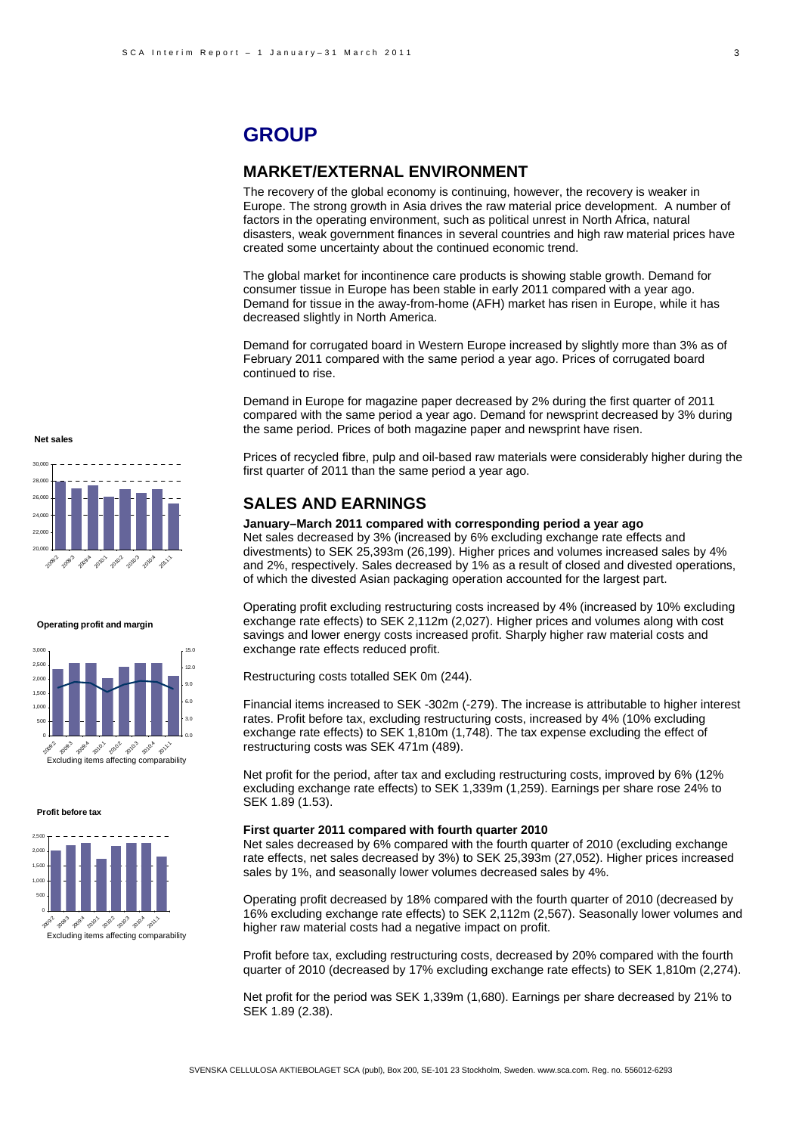#### 3

# **GROUP**

## **MARKET/EXTERNAL ENVIRONMENT**

The recovery of the global economy is continuing, however, the recovery is weaker in Europe. The strong growth in Asia drives the raw material price development. A number of factors in the operating environment, such as political unrest in North Africa, natural disasters, weak government finances in several countries and high raw material prices have created some uncertainty about the continued economic trend.

The global market for incontinence care products is showing stable growth. Demand for consumer tissue in Europe has been stable in early 2011 compared with a year ago. Demand for tissue in the away-from-home (AFH) market has risen in Europe, while it has decreased slightly in North America.

Demand for corrugated board in Western Europe increased by slightly more than 3% as of February 2011 compared with the same period a year ago. Prices of corrugated board continued to rise.

Demand in Europe for magazine paper decreased by 2% during the first quarter of 2011 compared with the same period a year ago. Demand for newsprint decreased by 3% during the same period. Prices of both magazine paper and newsprint have risen.

Prices of recycled fibre, pulp and oil-based raw materials were considerably higher during the first quarter of 2011 than the same period a year ago.

### **SALES AND EARNINGS**

### **January–March 2011 compared with corresponding period a year ago**

Net sales decreased by 3% (increased by 6% excluding exchange rate effects and divestments) to SEK 25,393m (26,199). Higher prices and volumes increased sales by 4% and 2%, respectively. Sales decreased by 1% as a result of closed and divested operations, of which the divested Asian packaging operation accounted for the largest part.

Operating profit excluding restructuring costs increased by 4% (increased by 10% excluding exchange rate effects) to SEK 2,112m (2,027). Higher prices and volumes along with cost savings and lower energy costs increased profit. Sharply higher raw material costs and exchange rate effects reduced profit.

Restructuring costs totalled SEK 0m (244).

Financial items increased to SEK -302m (-279). The increase is attributable to higher interest rates. Profit before tax, excluding restructuring costs, increased by 4% (10% excluding exchange rate effects) to SEK 1,810m (1,748). The tax expense excluding the effect of restructuring costs was SEK 471m (489).

Net profit for the period, after tax and excluding restructuring costs, improved by 6% (12% excluding exchange rate effects) to SEK 1,339m (1,259). Earnings per share rose 24% to SEK 1.89 (1.53).

### **First quarter 2011 compared with fourth quarter 2010**

Net sales decreased by 6% compared with the fourth quarter of 2010 (excluding exchange rate effects, net sales decreased by 3%) to SEK 25,393m (27,052). Higher prices increased sales by 1%, and seasonally lower volumes decreased sales by 4%.

Operating profit decreased by 18% compared with the fourth quarter of 2010 (decreased by 16% excluding exchange rate effects) to SEK 2,112m (2,567). Seasonally lower volumes and higher raw material costs had a negative impact on profit.

Profit before tax, excluding restructuring costs, decreased by 20% compared with the fourth quarter of 2010 (decreased by 17% excluding exchange rate effects) to SEK 1,810m (2,274).

Net profit for the period was SEK 1,339m (1,680). Earnings per share decreased by 21% to SEK 1.89 (2.38).

30,000 28,000 26,000 24,000 22,000 20,000 2009.2 2009.3 20<sub>09.4</sub> **P**10: **2010:2** 2010:3 2010:4 **P1:1** 

**Net sales**

### **Operating profit and margin**



**Profit before tax**

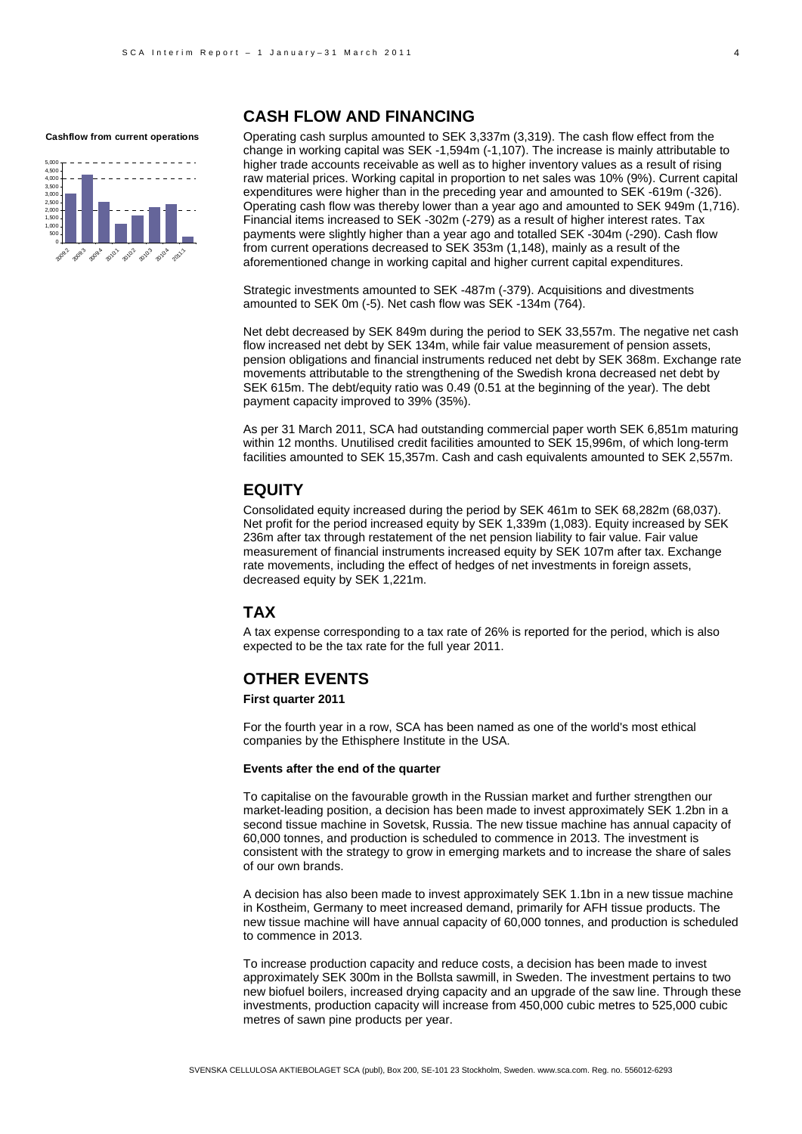**Cashflow from current operations**



### **CASH FLOW AND FINANCING**

Operating cash surplus amounted to SEK 3,337m (3,319). The cash flow effect from the change in working capital was SEK -1,594m (-1,107). The increase is mainly attributable to higher trade accounts receivable as well as to higher inventory values as a result of rising raw material prices. Working capital in proportion to net sales was 10% (9%). Current capital expenditures were higher than in the preceding year and amounted to SEK -619m (-326). Operating cash flow was thereby lower than a year ago and amounted to SEK 949m (1,716). Financial items increased to SEK -302m (-279) as a result of higher interest rates. Tax payments were slightly higher than a year ago and totalled SEK -304m (-290). Cash flow from current operations decreased to SEK 353m (1,148), mainly as a result of the aforementioned change in working capital and higher current capital expenditures.

Strategic investments amounted to SEK -487m (-379). Acquisitions and divestments amounted to SEK 0m (-5). Net cash flow was SEK -134m (764).

Net debt decreased by SEK 849m during the period to SEK 33,557m. The negative net cash flow increased net debt by SEK 134m, while fair value measurement of pension assets, pension obligations and financial instruments reduced net debt by SEK 368m. Exchange rate movements attributable to the strengthening of the Swedish krona decreased net debt by SEK 615m. The debt/equity ratio was 0.49 (0.51 at the beginning of the year). The debt payment capacity improved to 39% (35%).

As per 31 March 2011, SCA had outstanding commercial paper worth SEK 6,851m maturing within 12 months. Unutilised credit facilities amounted to SEK 15,996m, of which long-term facilities amounted to SEK 15,357m. Cash and cash equivalents amounted to SEK 2,557m.

### **EQUITY**

Consolidated equity increased during the period by SEK 461m to SEK 68,282m (68,037). Net profit for the period increased equity by SEK 1,339m (1,083). Equity increased by SEK 236m after tax through restatement of the net pension liability to fair value. Fair value measurement of financial instruments increased equity by SEK 107m after tax. Exchange rate movements, including the effect of hedges of net investments in foreign assets, decreased equity by SEK 1,221m.

### **TAX**

A tax expense corresponding to a tax rate of 26% is reported for the period, which is also expected to be the tax rate for the full year 2011.

## **OTHER EVENTS**

**First quarter 2011** 

For the fourth year in a row, SCA has been named as one of the world's most ethical companies by the Ethisphere Institute in the USA.

#### **Events after the end of the quarter**

To capitalise on the favourable growth in the Russian market and further strengthen our market-leading position, a decision has been made to invest approximately SEK 1.2bn in a second tissue machine in Sovetsk, Russia. The new tissue machine has annual capacity of 60,000 tonnes, and production is scheduled to commence in 2013. The investment is consistent with the strategy to grow in emerging markets and to increase the share of sales of our own brands.

A decision has also been made to invest approximately SEK 1.1bn in a new tissue machine in Kostheim, Germany to meet increased demand, primarily for AFH tissue products. The new tissue machine will have annual capacity of 60,000 tonnes, and production is scheduled to commence in 2013.

To increase production capacity and reduce costs, a decision has been made to invest approximately SEK 300m in the Bollsta sawmill, in Sweden. The investment pertains to two new biofuel boilers, increased drying capacity and an upgrade of the saw line. Through these investments, production capacity will increase from 450,000 cubic metres to 525,000 cubic metres of sawn pine products per year.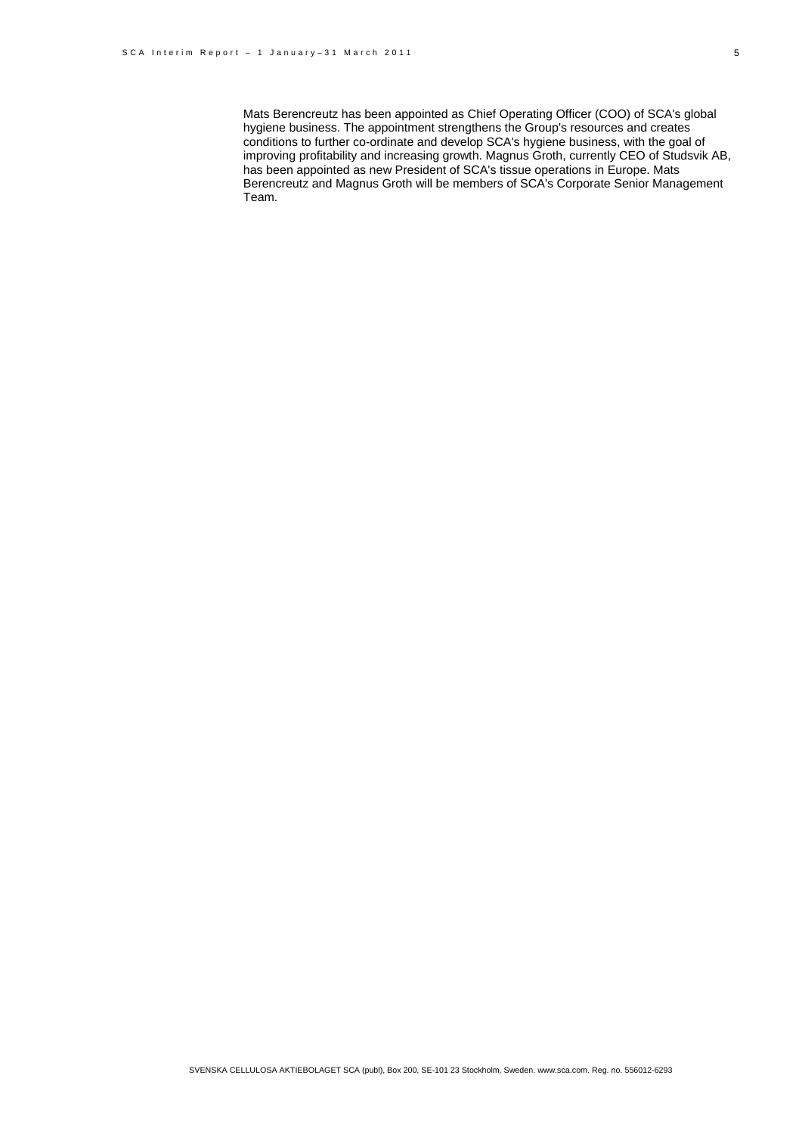Mats Berencreutz has been appointed as Chief Operating Officer (COO) of SCA's global hygiene business. The appointment strengthens the Group's resources and creates conditions to further co-ordinate and develop SCA's hygiene business, with the goal of improving profitability and increasing growth. Magnus Groth, currently CEO of Studsvik AB, has been appointed as new President of SCA's tissue operations in Europe. Mats Berencreutz and Magnus Groth will be members of SCA's Corporate Senior Management Team.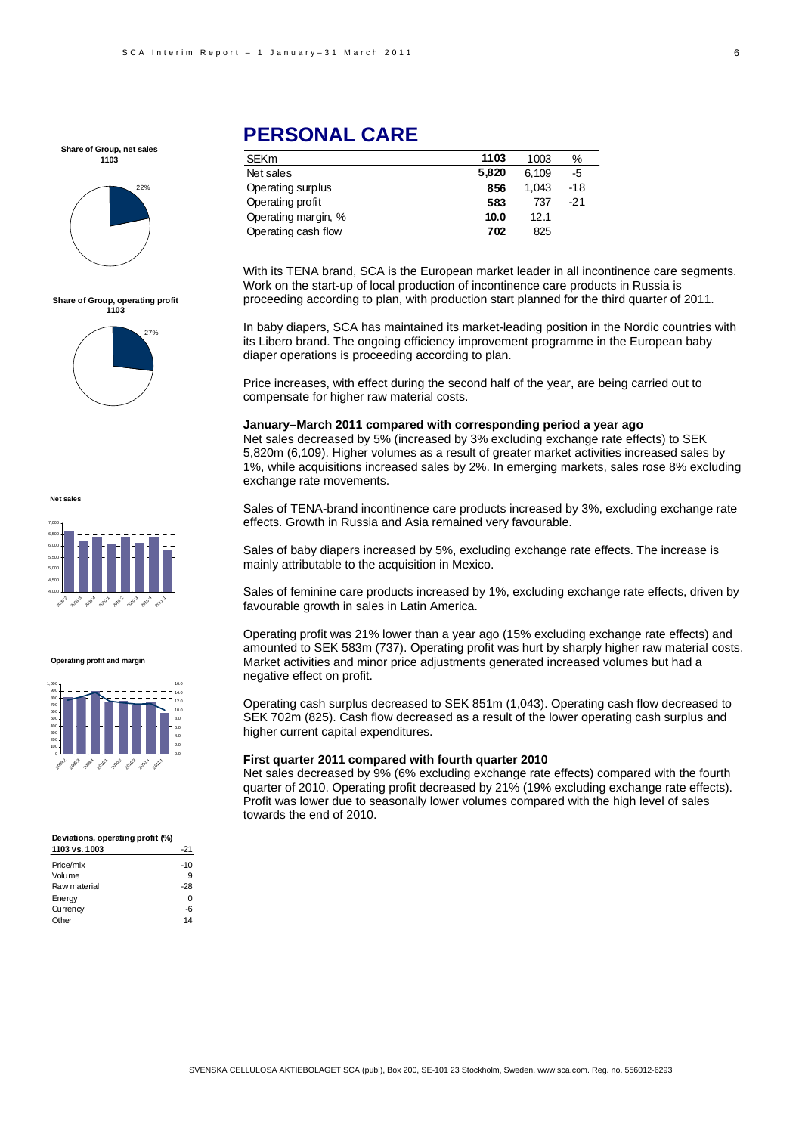**Share of Group, net sales 1103**



#### **Share of Group, operating profit 1103**



**Net s** 



**Operating profit and margin**



#### **Deviations, operating profit (%)**

| 1103 vs. 1003 |     |
|---------------|-----|
| Price/mix     | -10 |
| Volume        | 9   |
| Raw material  | -28 |
| <b>Energy</b> | ŋ   |
| Currency      | -6  |
| Other         | 14  |

# **PERSONAL CARE**

| <b>SEKm</b>         | 1103  | 1003  | %     |
|---------------------|-------|-------|-------|
| Net sales           | 5,820 | 6.109 | -5    |
| Operating surplus   | 856   | 1.043 | -18   |
| Operating profit    | 583   | 737   | $-21$ |
| Operating margin, % | 10.0  | 12.1  |       |
| Operating cash flow | 702   | 825   |       |

With its TENA brand, SCA is the European market leader in all incontinence care segments. Work on the start-up of local production of incontinence care products in Russia is proceeding according to plan, with production start planned for the third quarter of 2011.

In baby diapers, SCA has maintained its market-leading position in the Nordic countries with its Libero brand. The ongoing efficiency improvement programme in the European baby diaper operations is proceeding according to plan.

Price increases, with effect during the second half of the year, are being carried out to compensate for higher raw material costs.

### **January–March 2011 compared with corresponding period a year ago**

Net sales decreased by 5% (increased by 3% excluding exchange rate effects) to SEK 5,820m (6,109). Higher volumes as a result of greater market activities increased sales by 1%, while acquisitions increased sales by 2%. In emerging markets, sales rose 8% excluding exchange rate movements.

Sales of TENA-brand incontinence care products increased by 3%, excluding exchange rate effects. Growth in Russia and Asia remained very favourable.

Sales of baby diapers increased by 5%, excluding exchange rate effects. The increase is mainly attributable to the acquisition in Mexico.

Sales of feminine care products increased by 1%, excluding exchange rate effects, driven by favourable growth in sales in Latin America.

Operating profit was 21% lower than a year ago (15% excluding exchange rate effects) and amounted to SEK 583m (737). Operating profit was hurt by sharply higher raw material costs. Market activities and minor price adjustments generated increased volumes but had a negative effect on profit.

Operating cash surplus decreased to SEK 851m (1,043). Operating cash flow decreased to SEK 702m (825). Cash flow decreased as a result of the lower operating cash surplus and higher current capital expenditures.

### **First quarter 2011 compared with fourth quarter 2010**

Net sales decreased by 9% (6% excluding exchange rate effects) compared with the fourth quarter of 2010. Operating profit decreased by 21% (19% excluding exchange rate effects). Profit was lower due to seasonally lower volumes compared with the high level of sales towards the end of 2010.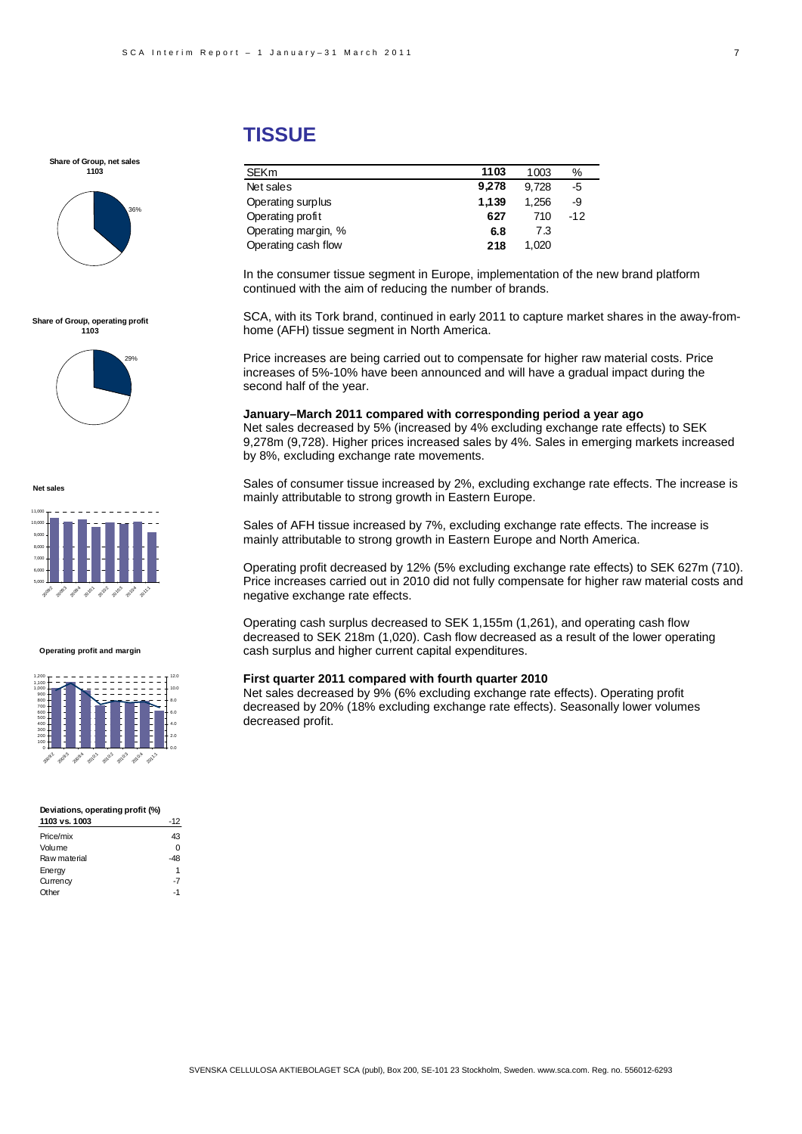**Share of Group, net sales 1103**



## **Share of Group, operating profit 1103**



**Net sales**



#### **Operating profit and margin**

| 1,200<br>1,100     |        |                             |      |      |               | 12.0 |
|--------------------|--------|-----------------------------|------|------|---------------|------|
| 1,000              |        |                             |      |      |               | 10.0 |
| 900<br>800         |        |                             |      |      |               | 8.0  |
| 700<br>600         |        |                             |      |      |               | 6.0  |
| 500<br>400         |        |                             |      |      |               | 4.0  |
| 300<br>200         |        |                             |      |      |               | 2.0  |
| 100<br>$\mathbf 0$ |        |                             |      |      |               | 0.0  |
| 20ga2              | 2009.3 | <b>Bosit</b><br><b>B10'</b> | Anaz | Blg3 | 2010-A 2011-5 |      |
|                    |        |                             |      |      |               |      |

#### **Deviations, operating profit (%)**

| 1103 vs. 1003 | $-12$ |
|---------------|-------|
| Price/mix     | 43    |
| Volume        | U     |
| Raw material  | -48   |
| Energy        |       |
| Currency      | -7    |
| Other         | -1    |
|               |       |

# **TISSUE**

| <b>SEKm</b>         | 1103  | 1003  | %     |
|---------------------|-------|-------|-------|
| Net sales           | 9,278 | 9.728 | -5    |
| Operating surplus   | 1,139 | 1.256 | -9    |
| Operating profit    | 627   | 710   | $-12$ |
| Operating margin, % | 6.8   | 7.3   |       |
| Operating cash flow | 218   | 1.020 |       |

In the consumer tissue segment in Europe, implementation of the new brand platform continued with the aim of reducing the number of brands.

SCA, with its Tork brand, continued in early 2011 to capture market shares in the away-fromhome (AFH) tissue segment in North America.

Price increases are being carried out to compensate for higher raw material costs. Price increases of 5%-10% have been announced and will have a gradual impact during the second half of the year.

### **January–March 2011 compared with corresponding period a year ago**

Net sales decreased by 5% (increased by 4% excluding exchange rate effects) to SEK 9,278m (9,728). Higher prices increased sales by 4%. Sales in emerging markets increased by 8%, excluding exchange rate movements.

Sales of consumer tissue increased by 2%, excluding exchange rate effects. The increase is mainly attributable to strong growth in Eastern Europe.

Sales of AFH tissue increased by 7%, excluding exchange rate effects. The increase is mainly attributable to strong growth in Eastern Europe and North America.

Operating profit decreased by 12% (5% excluding exchange rate effects) to SEK 627m (710). Price increases carried out in 2010 did not fully compensate for higher raw material costs and negative exchange rate effects.

Operating cash surplus decreased to SEK 1,155m (1,261), and operating cash flow decreased to SEK 218m (1,020). Cash flow decreased as a result of the lower operating cash surplus and higher current capital expenditures.

### **First quarter 2011 compared with fourth quarter 2010**

Net sales decreased by 9% (6% excluding exchange rate effects). Operating profit decreased by 20% (18% excluding exchange rate effects). Seasonally lower volumes decreased profit.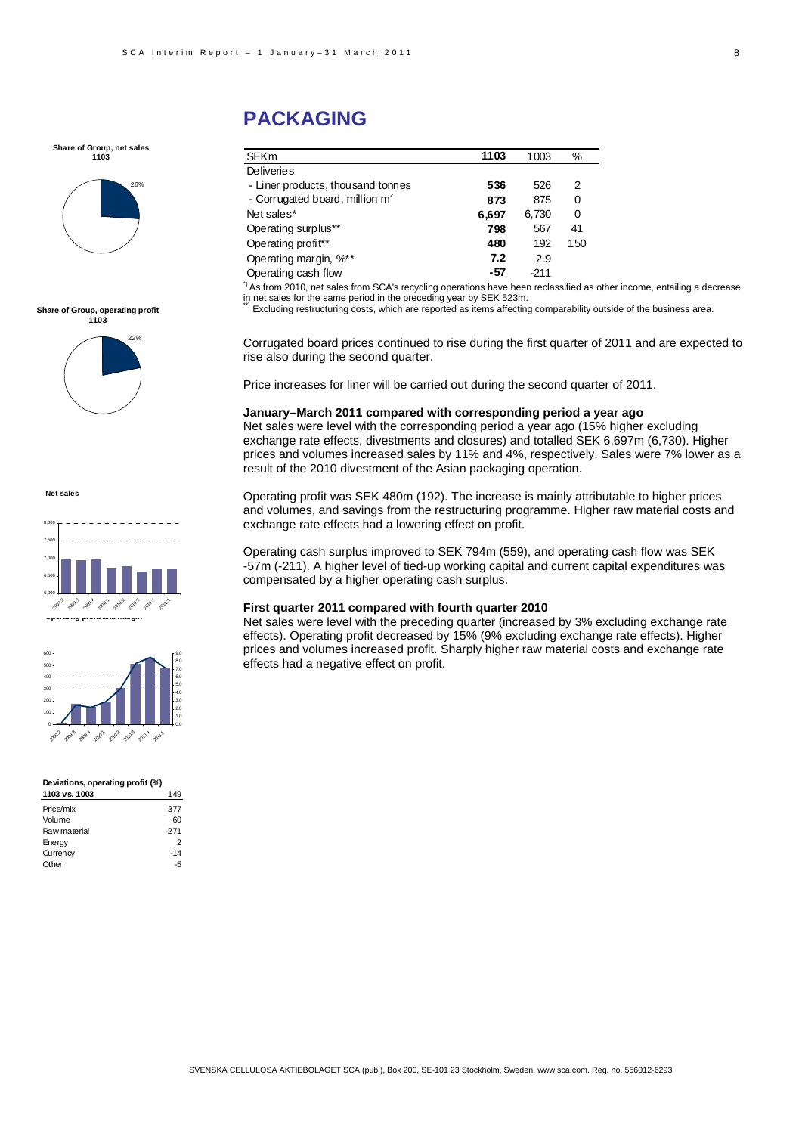**Share of Group, net sales 1103**



**Share of Group, operating profit 1103**



**Net sales**





| Deviations, operating profit (%) |
|----------------------------------|
| 377                              |
| 60                               |
| $-271$                           |
| 2                                |
|                                  |
|                                  |

Other -5

# **PACKAGING**

| <b>SEKm</b>                                | 1103  | 1003   | ℅   |
|--------------------------------------------|-------|--------|-----|
| <b>Deliveries</b>                          |       |        |     |
| - Liner products, thousand tonnes          | 536   | 526    | 2   |
| - Corrugated board, million m <sup>2</sup> | 873   | 875    | 0   |
| Net sales*                                 | 6,697 | 6,730  | 0   |
| Operating surplus**                        | 798   | 567    | 41  |
| Operating profit**                         | 480   | 192    | 150 |
| Operating margin, %**                      | 7.2   | 2.9    |     |
| Operating cash flow                        | -57   | $-211$ |     |
|                                            |       |        |     |

 $^{9}$ As from 2010, net sales from SCA's recycling operations have been reclassified as other income, entailing a decrease in net sales for the same period in the preceding year by SEK 523m.<br>\*\*) Excluding restructuring costs, which are reported as items affecting comparability outside of the business area.

Corrugated board prices continued to rise during the first quarter of 2011 and are expected to rise also during the second quarter.

Price increases for liner will be carried out during the second quarter of 2011.

### **January–March 2011 compared with corresponding period a year ago**

Net sales were level with the corresponding period a year ago (15% higher excluding exchange rate effects, divestments and closures) and totalled SEK 6,697m (6,730). Higher prices and volumes increased sales by 11% and 4%, respectively. Sales were 7% lower as a result of the 2010 divestment of the Asian packaging operation.

Operating profit was SEK 480m (192). The increase is mainly attributable to higher prices and volumes, and savings from the restructuring programme. Higher raw material costs and exchange rate effects had a lowering effect on profit.

Operating cash surplus improved to SEK 794m (559), and operating cash flow was SEK -57m (-211). A higher level of tied-up working capital and current capital expenditures was compensated by a higher operating cash surplus.

#### **First quarter 2011 compared with fourth quarter 2010**

Net sales were level with the preceding quarter (increased by 3% excluding exchange rate effects). Operating profit decreased by 15% (9% excluding exchange rate effects). Higher prices and volumes increased profit. Sharply higher raw material costs and exchange rate effects had a negative effect on profit.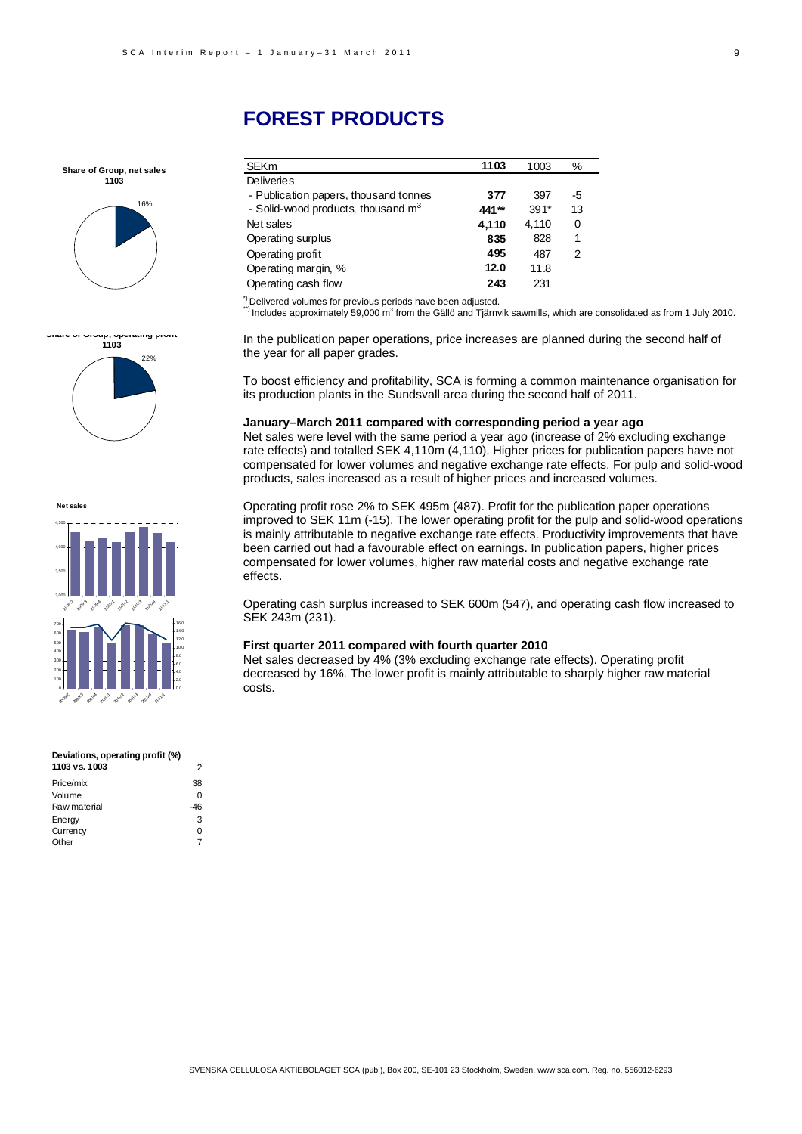# **FOREST PRODUCTS**

| <b>SEKm</b>                                    | 1103  | 1003   | %  |
|------------------------------------------------|-------|--------|----|
| Deliveries                                     |       |        |    |
| - Publication papers, thousand tonnes          | 377   | 397    | -5 |
| - Solid-wood products, thousand m <sup>3</sup> | 441** | $391*$ | 13 |
| Net sales                                      | 4.110 | 4.110  | 0  |
| Operating surplus                              | 835   | 828    |    |
| Operating profit                               | 495   | 487    | 2  |
| Operating margin, %                            | 12.0  | 11.8   |    |
| Operating cash flow                            | 243   | 231    |    |

\*) Delivered volumes for previous periods have been adjusted. \*\*) Includes approximately 59,000 m<sup>3</sup> from the Gällö and Tjärnvik sawmills, which are consolidated as from 1 July 2010.

In the publication paper operations, price increases are planned during the second half of the year for all paper grades.

To boost efficiency and profitability, SCA is forming a common maintenance organisation for its production plants in the Sundsvall area during the second half of 2011.

### **January–March 2011 compared with corresponding period a year ago**

Net sales were level with the same period a year ago (increase of 2% excluding exchange rate effects) and totalled SEK 4,110m (4,110). Higher prices for publication papers have not compensated for lower volumes and negative exchange rate effects. For pulp and solid-wood products, sales increased as a result of higher prices and increased volumes.

Operating profit rose 2% to SEK 495m (487). Profit for the publication paper operations improved to SEK 11m (-15). The lower operating profit for the pulp and solid-wood operations is mainly attributable to negative exchange rate effects. Productivity improvements that have been carried out had a favourable effect on earnings. In publication papers, higher prices compensated for lower volumes, higher raw material costs and negative exchange rate effects.

Operating cash surplus increased to SEK 600m (547), and operating cash flow increased to SEK 243m (231).

### **First quarter 2011 compared with fourth quarter 2010**

Net sales decreased by 4% (3% excluding exchange rate effects). Operating profit decreased by 16%. The lower profit is mainly attributable to sharply higher raw material costs.

| Deviations, operating profit (%) |    |
|----------------------------------|----|
| 1103 vs. 1003                    | 2  |
| Price/mix                        | 38 |
| Volume                           | O  |
| Raw material                     |    |
| Energy                           | 3  |
| Currency                         | O  |
| Other                            |    |





**Share of Group, operating profit 1103**

**Share of Group, net sales 1103**

22%

16%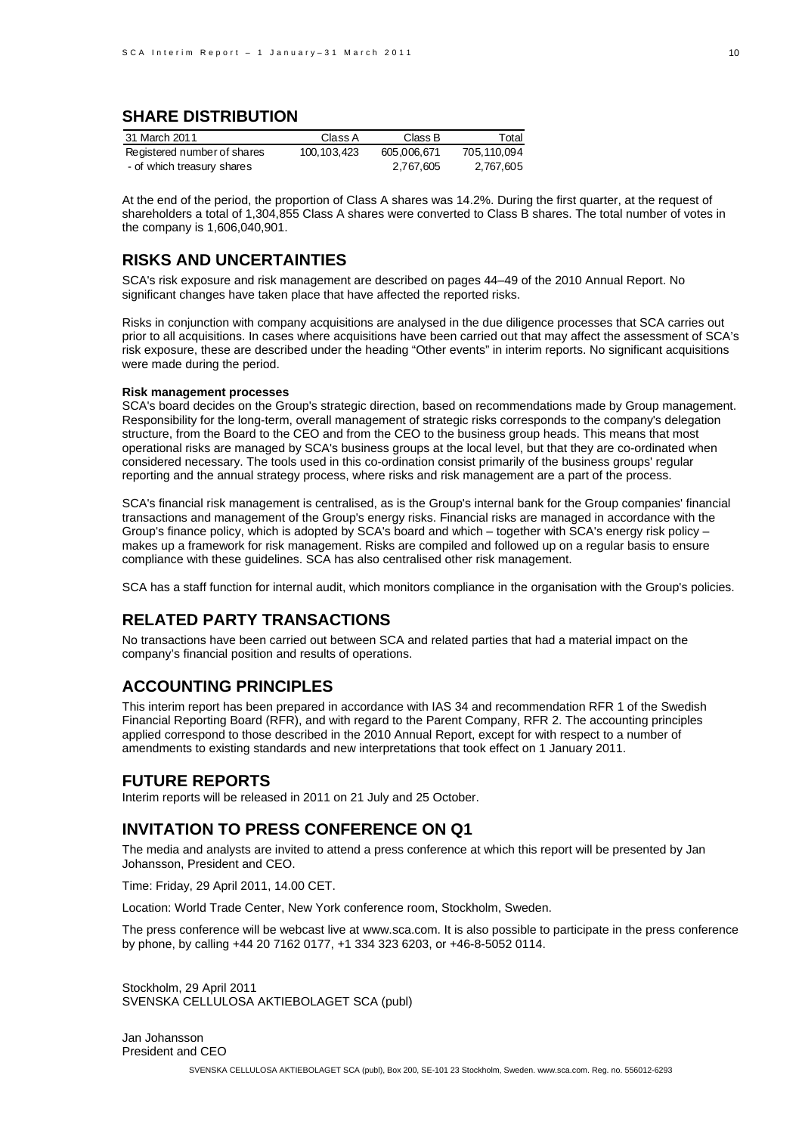# **SHARE DISTRIBUTION**

| 31 March 2011               | Class A     | Class B     | Total       |
|-----------------------------|-------------|-------------|-------------|
| Registered number of shares | 100.103.423 | 605.006.671 | 705,110,094 |
| - of which treasury shares  |             | 2.767.605   | 2,767,605   |

At the end of the period, the proportion of Class A shares was 14.2%. During the first quarter, at the request of shareholders a total of 1,304,855 Class A shares were converted to Class B shares. The total number of votes in the company is 1,606,040,901.

## **RISKS AND UNCERTAINTIES**

SCA's risk exposure and risk management are described on pages 44–49 of the 2010 Annual Report. No significant changes have taken place that have affected the reported risks.

Risks in conjunction with company acquisitions are analysed in the due diligence processes that SCA carries out prior to all acquisitions. In cases where acquisitions have been carried out that may affect the assessment of SCA's risk exposure, these are described under the heading "Other events" in interim reports. No significant acquisitions were made during the period.

### **Risk management processes**

SCA's board decides on the Group's strategic direction, based on recommendations made by Group management. Responsibility for the long-term, overall management of strategic risks corresponds to the company's delegation structure, from the Board to the CEO and from the CEO to the business group heads. This means that most operational risks are managed by SCA's business groups at the local level, but that they are co-ordinated when considered necessary. The tools used in this co-ordination consist primarily of the business groups' regular reporting and the annual strategy process, where risks and risk management are a part of the process.

SCA's financial risk management is centralised, as is the Group's internal bank for the Group companies' financial transactions and management of the Group's energy risks. Financial risks are managed in accordance with the Group's finance policy, which is adopted by SCA's board and which – together with SCA's energy risk policy – makes up a framework for risk management. Risks are compiled and followed up on a regular basis to ensure compliance with these guidelines. SCA has also centralised other risk management.

SCA has a staff function for internal audit, which monitors compliance in the organisation with the Group's policies.

# **RELATED PARTY TRANSACTIONS**

No transactions have been carried out between SCA and related parties that had a material impact on the company's financial position and results of operations.

## **ACCOUNTING PRINCIPLES**

This interim report has been prepared in accordance with IAS 34 and recommendation RFR 1 of the Swedish Financial Reporting Board (RFR), and with regard to the Parent Company, RFR 2. The accounting principles applied correspond to those described in the 2010 Annual Report, except for with respect to a number of amendments to existing standards and new interpretations that took effect on 1 January 2011.

### **FUTURE REPORTS**

Interim reports will be released in 2011 on 21 July and 25 October.

## **INVITATION TO PRESS CONFERENCE ON Q1**

The media and analysts are invited to attend a press conference at which this report will be presented by Jan Johansson, President and CEO.

Time: Friday, 29 April 2011, 14.00 CET.

Location: World Trade Center, New York conference room, Stockholm, Sweden.

The press conference will be webcast live at www.sca.com. It is also possible to participate in the press conference by phone, by calling +44 20 7162 0177, +1 334 323 6203, or +46-8-5052 0114.

Stockholm, 29 April 2011 SVENSKA CELLULOSA AKTIEBOLAGET SCA (publ)

Jan Johansson President and CEO

SVENSKA CELLULOSA AKTIEBOLAGET SCA (publ), Box 200, SE-101 23 Stockholm, Sweden. www.sca.com. Reg. no. 556012-6293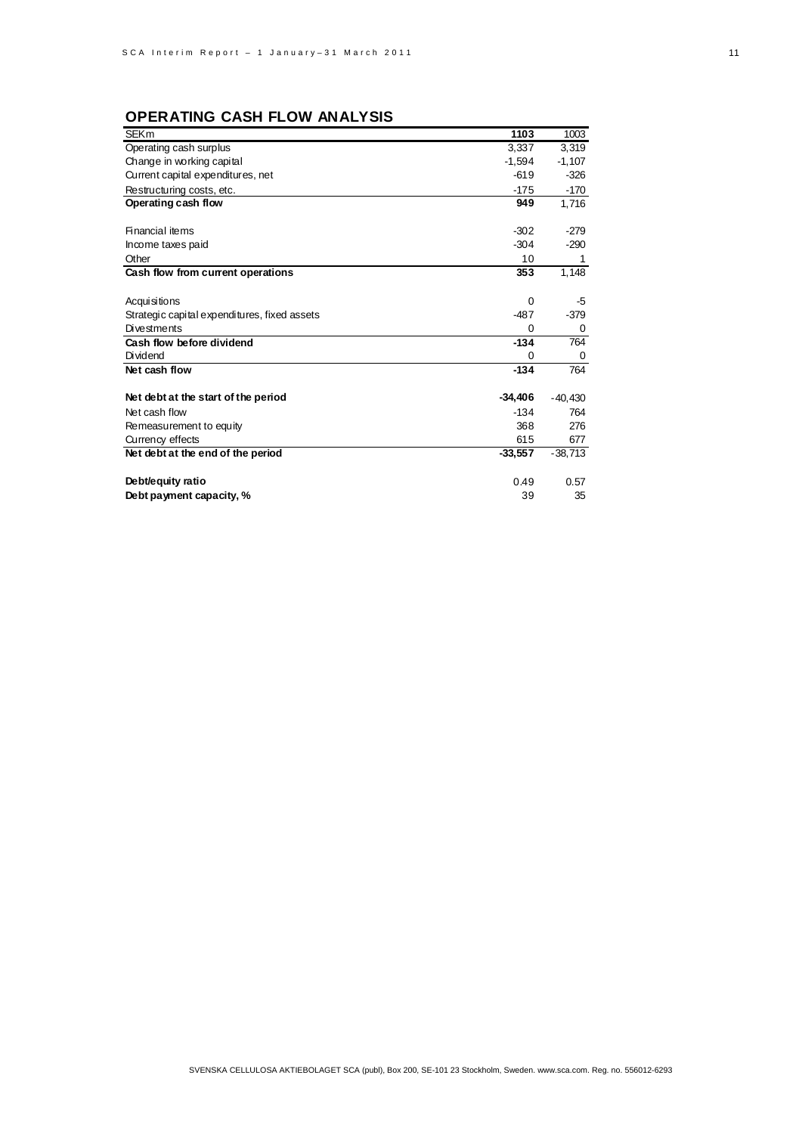# **OPERATING CASH FLOW ANALYSIS**

| <b>SEKm</b>                                  | 1103      | 1003      |
|----------------------------------------------|-----------|-----------|
| Operating cash surplus                       | 3,337     | 3,319     |
| Change in working capital                    | $-1,594$  | $-1,107$  |
| Current capital expenditures, net            | $-619$    | $-326$    |
| Restructuring costs, etc.                    | $-175$    | $-170$    |
| Operating cash flow                          | 949       | 1,716     |
|                                              |           |           |
| Financial items                              | $-302$    | $-279$    |
| Income taxes paid                            | $-304$    | $-290$    |
| Other                                        | 10        | 1         |
| Cash flow from current operations            | 353       | 1,148     |
|                                              |           |           |
| <b>Acquisitions</b>                          | $\Omega$  | -5        |
| Strategic capital expenditures, fixed assets | $-487$    | $-379$    |
| Divestments                                  | 0         | 0         |
| Cash flow before dividend                    | $-134$    | 764       |
| Dividend                                     | 0         | 0         |
| Net cash flow                                | $-134$    | 764       |
|                                              |           |           |
| Net debt at the start of the period          | $-34.406$ | $-40,430$ |
| Net cash flow                                | $-134$    | 764       |
| Remeasurement to equity                      | 368       | 276       |
| Currency effects                             | 615       | 677       |
| Net debt at the end of the period            | $-33,557$ | $-38,713$ |
|                                              |           |           |
| Debt/equity ratio                            | 0.49      | 0.57      |
| Debt payment capacity, %                     | 39        | 35        |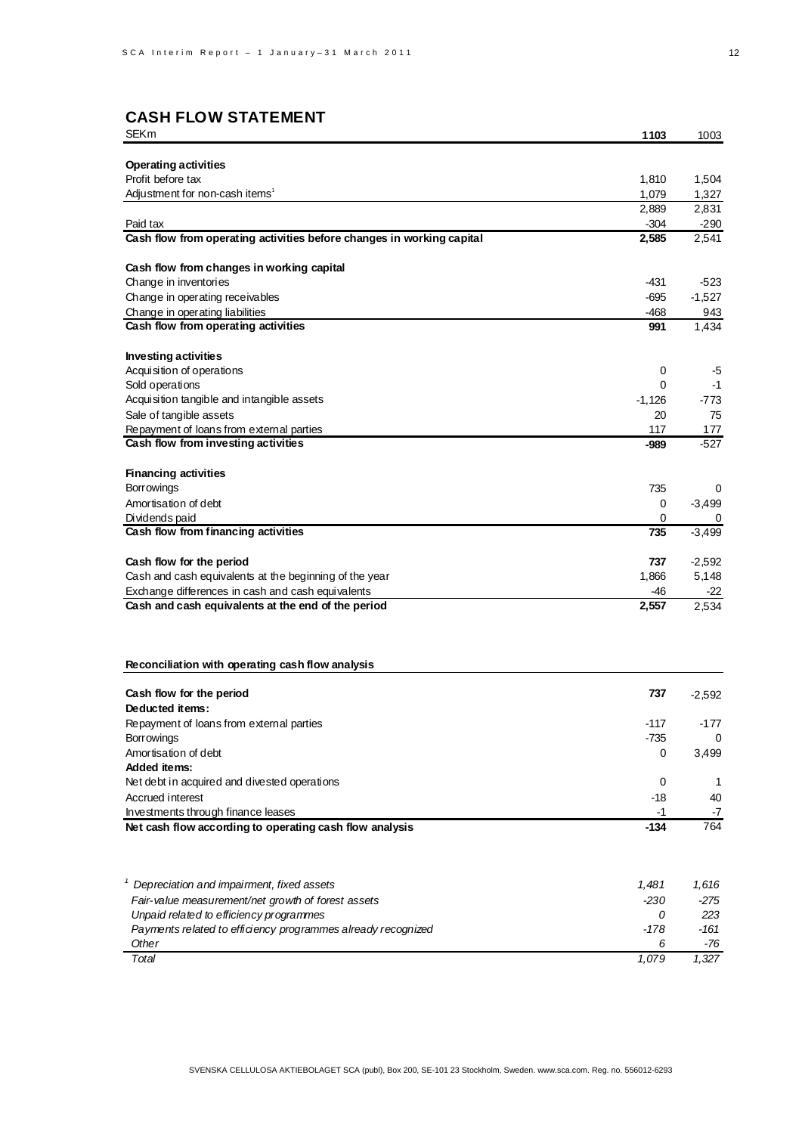| <b>Operating activities</b><br>Profit before tax<br>1,810<br>1,504<br>Adjustment for non-cash items <sup>1</sup><br>1,079<br>1,327<br>2,831<br>2.889<br>$-304$<br>Paid tax<br>$-290$<br>Cash flow from operating activities before changes in working capital<br>2,541<br>2,585<br>Cash flow from changes in working capital<br>Change in inventories<br>-431<br>$-523$<br>Change in operating receivables<br>$-695$<br>$-1,527$<br>Change in operating liabilities<br>-468<br>943<br>Cash flow from operating activities<br>1,434<br>991<br><b>Investing activities</b><br>Acquisition of operations<br>0<br>-5<br>Sold operations<br>0<br>$-1$<br>Acquisition tangible and intangible assets<br>-773<br>$-1.126$<br>Sale of tangible assets<br>20<br>75<br>117<br>Repayment of loans from external parties<br>177<br>Cash flow from investing activities<br>$-527$<br>-989<br><b>Financing activities</b><br>Borrowings<br>735<br>0<br>$-3,499$<br>Amortisation of debt<br>0<br>Dividends paid<br>0<br>0<br>Cash flow from financing activities<br>$-3,499$<br>735<br>$-2,592$<br>Cash flow for the period<br>737<br>5,148<br>Cash and cash equivalents at the beginning of the year<br>1,866<br>Exchange differences in cash and cash equivalents<br>-46<br>-22<br>Cash and cash equivalents at the end of the period<br>2,557<br>2,534<br>Reconciliation with operating cash flow analysis<br>Cash flow for the period<br>737<br>$-2,592$<br>Deducted items:<br>$-117$<br>$-177$<br>Repayment of loans from external parties<br>Borrowings<br>$-735$<br>0<br>Amortisation of debt<br>3,499<br>0<br><b>Added items:</b><br>Net debt in acquired and divested operations<br>0<br>-1<br>Accrued interest<br>-18<br>40<br>Investments through finance leases<br>-1<br>-7<br>Net cash flow according to operating cash flow analysis<br>764<br>-134<br>Depreciation and impairment, fixed assets<br>1,481<br>1,616<br>Fair-value measurement/net growth of forest assets<br>$-230$<br>-275<br>Unpaid related to efficiency programmes<br>223<br>0<br>Payments related to efficiency programmes already recognized<br>-178<br>$-161$<br>Other<br>6<br>-76<br>1,327<br>1,079<br>Total | <b>SEKm</b> | 1103 | 1003 |
|------------------------------------------------------------------------------------------------------------------------------------------------------------------------------------------------------------------------------------------------------------------------------------------------------------------------------------------------------------------------------------------------------------------------------------------------------------------------------------------------------------------------------------------------------------------------------------------------------------------------------------------------------------------------------------------------------------------------------------------------------------------------------------------------------------------------------------------------------------------------------------------------------------------------------------------------------------------------------------------------------------------------------------------------------------------------------------------------------------------------------------------------------------------------------------------------------------------------------------------------------------------------------------------------------------------------------------------------------------------------------------------------------------------------------------------------------------------------------------------------------------------------------------------------------------------------------------------------------------------------------------------------------------------------------------------------------------------------------------------------------------------------------------------------------------------------------------------------------------------------------------------------------------------------------------------------------------------------------------------------------------------------------------------------------------------------------------------------------------------------------------------------------------------------------------|-------------|------|------|
|                                                                                                                                                                                                                                                                                                                                                                                                                                                                                                                                                                                                                                                                                                                                                                                                                                                                                                                                                                                                                                                                                                                                                                                                                                                                                                                                                                                                                                                                                                                                                                                                                                                                                                                                                                                                                                                                                                                                                                                                                                                                                                                                                                                    |             |      |      |
|                                                                                                                                                                                                                                                                                                                                                                                                                                                                                                                                                                                                                                                                                                                                                                                                                                                                                                                                                                                                                                                                                                                                                                                                                                                                                                                                                                                                                                                                                                                                                                                                                                                                                                                                                                                                                                                                                                                                                                                                                                                                                                                                                                                    |             |      |      |
|                                                                                                                                                                                                                                                                                                                                                                                                                                                                                                                                                                                                                                                                                                                                                                                                                                                                                                                                                                                                                                                                                                                                                                                                                                                                                                                                                                                                                                                                                                                                                                                                                                                                                                                                                                                                                                                                                                                                                                                                                                                                                                                                                                                    |             |      |      |
|                                                                                                                                                                                                                                                                                                                                                                                                                                                                                                                                                                                                                                                                                                                                                                                                                                                                                                                                                                                                                                                                                                                                                                                                                                                                                                                                                                                                                                                                                                                                                                                                                                                                                                                                                                                                                                                                                                                                                                                                                                                                                                                                                                                    |             |      |      |
|                                                                                                                                                                                                                                                                                                                                                                                                                                                                                                                                                                                                                                                                                                                                                                                                                                                                                                                                                                                                                                                                                                                                                                                                                                                                                                                                                                                                                                                                                                                                                                                                                                                                                                                                                                                                                                                                                                                                                                                                                                                                                                                                                                                    |             |      |      |
|                                                                                                                                                                                                                                                                                                                                                                                                                                                                                                                                                                                                                                                                                                                                                                                                                                                                                                                                                                                                                                                                                                                                                                                                                                                                                                                                                                                                                                                                                                                                                                                                                                                                                                                                                                                                                                                                                                                                                                                                                                                                                                                                                                                    |             |      |      |
|                                                                                                                                                                                                                                                                                                                                                                                                                                                                                                                                                                                                                                                                                                                                                                                                                                                                                                                                                                                                                                                                                                                                                                                                                                                                                                                                                                                                                                                                                                                                                                                                                                                                                                                                                                                                                                                                                                                                                                                                                                                                                                                                                                                    |             |      |      |
|                                                                                                                                                                                                                                                                                                                                                                                                                                                                                                                                                                                                                                                                                                                                                                                                                                                                                                                                                                                                                                                                                                                                                                                                                                                                                                                                                                                                                                                                                                                                                                                                                                                                                                                                                                                                                                                                                                                                                                                                                                                                                                                                                                                    |             |      |      |
|                                                                                                                                                                                                                                                                                                                                                                                                                                                                                                                                                                                                                                                                                                                                                                                                                                                                                                                                                                                                                                                                                                                                                                                                                                                                                                                                                                                                                                                                                                                                                                                                                                                                                                                                                                                                                                                                                                                                                                                                                                                                                                                                                                                    |             |      |      |
|                                                                                                                                                                                                                                                                                                                                                                                                                                                                                                                                                                                                                                                                                                                                                                                                                                                                                                                                                                                                                                                                                                                                                                                                                                                                                                                                                                                                                                                                                                                                                                                                                                                                                                                                                                                                                                                                                                                                                                                                                                                                                                                                                                                    |             |      |      |
|                                                                                                                                                                                                                                                                                                                                                                                                                                                                                                                                                                                                                                                                                                                                                                                                                                                                                                                                                                                                                                                                                                                                                                                                                                                                                                                                                                                                                                                                                                                                                                                                                                                                                                                                                                                                                                                                                                                                                                                                                                                                                                                                                                                    |             |      |      |
|                                                                                                                                                                                                                                                                                                                                                                                                                                                                                                                                                                                                                                                                                                                                                                                                                                                                                                                                                                                                                                                                                                                                                                                                                                                                                                                                                                                                                                                                                                                                                                                                                                                                                                                                                                                                                                                                                                                                                                                                                                                                                                                                                                                    |             |      |      |
|                                                                                                                                                                                                                                                                                                                                                                                                                                                                                                                                                                                                                                                                                                                                                                                                                                                                                                                                                                                                                                                                                                                                                                                                                                                                                                                                                                                                                                                                                                                                                                                                                                                                                                                                                                                                                                                                                                                                                                                                                                                                                                                                                                                    |             |      |      |
|                                                                                                                                                                                                                                                                                                                                                                                                                                                                                                                                                                                                                                                                                                                                                                                                                                                                                                                                                                                                                                                                                                                                                                                                                                                                                                                                                                                                                                                                                                                                                                                                                                                                                                                                                                                                                                                                                                                                                                                                                                                                                                                                                                                    |             |      |      |
|                                                                                                                                                                                                                                                                                                                                                                                                                                                                                                                                                                                                                                                                                                                                                                                                                                                                                                                                                                                                                                                                                                                                                                                                                                                                                                                                                                                                                                                                                                                                                                                                                                                                                                                                                                                                                                                                                                                                                                                                                                                                                                                                                                                    |             |      |      |
|                                                                                                                                                                                                                                                                                                                                                                                                                                                                                                                                                                                                                                                                                                                                                                                                                                                                                                                                                                                                                                                                                                                                                                                                                                                                                                                                                                                                                                                                                                                                                                                                                                                                                                                                                                                                                                                                                                                                                                                                                                                                                                                                                                                    |             |      |      |
|                                                                                                                                                                                                                                                                                                                                                                                                                                                                                                                                                                                                                                                                                                                                                                                                                                                                                                                                                                                                                                                                                                                                                                                                                                                                                                                                                                                                                                                                                                                                                                                                                                                                                                                                                                                                                                                                                                                                                                                                                                                                                                                                                                                    |             |      |      |
|                                                                                                                                                                                                                                                                                                                                                                                                                                                                                                                                                                                                                                                                                                                                                                                                                                                                                                                                                                                                                                                                                                                                                                                                                                                                                                                                                                                                                                                                                                                                                                                                                                                                                                                                                                                                                                                                                                                                                                                                                                                                                                                                                                                    |             |      |      |
|                                                                                                                                                                                                                                                                                                                                                                                                                                                                                                                                                                                                                                                                                                                                                                                                                                                                                                                                                                                                                                                                                                                                                                                                                                                                                                                                                                                                                                                                                                                                                                                                                                                                                                                                                                                                                                                                                                                                                                                                                                                                                                                                                                                    |             |      |      |
|                                                                                                                                                                                                                                                                                                                                                                                                                                                                                                                                                                                                                                                                                                                                                                                                                                                                                                                                                                                                                                                                                                                                                                                                                                                                                                                                                                                                                                                                                                                                                                                                                                                                                                                                                                                                                                                                                                                                                                                                                                                                                                                                                                                    |             |      |      |
|                                                                                                                                                                                                                                                                                                                                                                                                                                                                                                                                                                                                                                                                                                                                                                                                                                                                                                                                                                                                                                                                                                                                                                                                                                                                                                                                                                                                                                                                                                                                                                                                                                                                                                                                                                                                                                                                                                                                                                                                                                                                                                                                                                                    |             |      |      |
|                                                                                                                                                                                                                                                                                                                                                                                                                                                                                                                                                                                                                                                                                                                                                                                                                                                                                                                                                                                                                                                                                                                                                                                                                                                                                                                                                                                                                                                                                                                                                                                                                                                                                                                                                                                                                                                                                                                                                                                                                                                                                                                                                                                    |             |      |      |
|                                                                                                                                                                                                                                                                                                                                                                                                                                                                                                                                                                                                                                                                                                                                                                                                                                                                                                                                                                                                                                                                                                                                                                                                                                                                                                                                                                                                                                                                                                                                                                                                                                                                                                                                                                                                                                                                                                                                                                                                                                                                                                                                                                                    |             |      |      |
|                                                                                                                                                                                                                                                                                                                                                                                                                                                                                                                                                                                                                                                                                                                                                                                                                                                                                                                                                                                                                                                                                                                                                                                                                                                                                                                                                                                                                                                                                                                                                                                                                                                                                                                                                                                                                                                                                                                                                                                                                                                                                                                                                                                    |             |      |      |
|                                                                                                                                                                                                                                                                                                                                                                                                                                                                                                                                                                                                                                                                                                                                                                                                                                                                                                                                                                                                                                                                                                                                                                                                                                                                                                                                                                                                                                                                                                                                                                                                                                                                                                                                                                                                                                                                                                                                                                                                                                                                                                                                                                                    |             |      |      |
|                                                                                                                                                                                                                                                                                                                                                                                                                                                                                                                                                                                                                                                                                                                                                                                                                                                                                                                                                                                                                                                                                                                                                                                                                                                                                                                                                                                                                                                                                                                                                                                                                                                                                                                                                                                                                                                                                                                                                                                                                                                                                                                                                                                    |             |      |      |
|                                                                                                                                                                                                                                                                                                                                                                                                                                                                                                                                                                                                                                                                                                                                                                                                                                                                                                                                                                                                                                                                                                                                                                                                                                                                                                                                                                                                                                                                                                                                                                                                                                                                                                                                                                                                                                                                                                                                                                                                                                                                                                                                                                                    |             |      |      |
|                                                                                                                                                                                                                                                                                                                                                                                                                                                                                                                                                                                                                                                                                                                                                                                                                                                                                                                                                                                                                                                                                                                                                                                                                                                                                                                                                                                                                                                                                                                                                                                                                                                                                                                                                                                                                                                                                                                                                                                                                                                                                                                                                                                    |             |      |      |
|                                                                                                                                                                                                                                                                                                                                                                                                                                                                                                                                                                                                                                                                                                                                                                                                                                                                                                                                                                                                                                                                                                                                                                                                                                                                                                                                                                                                                                                                                                                                                                                                                                                                                                                                                                                                                                                                                                                                                                                                                                                                                                                                                                                    |             |      |      |
|                                                                                                                                                                                                                                                                                                                                                                                                                                                                                                                                                                                                                                                                                                                                                                                                                                                                                                                                                                                                                                                                                                                                                                                                                                                                                                                                                                                                                                                                                                                                                                                                                                                                                                                                                                                                                                                                                                                                                                                                                                                                                                                                                                                    |             |      |      |
|                                                                                                                                                                                                                                                                                                                                                                                                                                                                                                                                                                                                                                                                                                                                                                                                                                                                                                                                                                                                                                                                                                                                                                                                                                                                                                                                                                                                                                                                                                                                                                                                                                                                                                                                                                                                                                                                                                                                                                                                                                                                                                                                                                                    |             |      |      |
|                                                                                                                                                                                                                                                                                                                                                                                                                                                                                                                                                                                                                                                                                                                                                                                                                                                                                                                                                                                                                                                                                                                                                                                                                                                                                                                                                                                                                                                                                                                                                                                                                                                                                                                                                                                                                                                                                                                                                                                                                                                                                                                                                                                    |             |      |      |
|                                                                                                                                                                                                                                                                                                                                                                                                                                                                                                                                                                                                                                                                                                                                                                                                                                                                                                                                                                                                                                                                                                                                                                                                                                                                                                                                                                                                                                                                                                                                                                                                                                                                                                                                                                                                                                                                                                                                                                                                                                                                                                                                                                                    |             |      |      |
|                                                                                                                                                                                                                                                                                                                                                                                                                                                                                                                                                                                                                                                                                                                                                                                                                                                                                                                                                                                                                                                                                                                                                                                                                                                                                                                                                                                                                                                                                                                                                                                                                                                                                                                                                                                                                                                                                                                                                                                                                                                                                                                                                                                    |             |      |      |
|                                                                                                                                                                                                                                                                                                                                                                                                                                                                                                                                                                                                                                                                                                                                                                                                                                                                                                                                                                                                                                                                                                                                                                                                                                                                                                                                                                                                                                                                                                                                                                                                                                                                                                                                                                                                                                                                                                                                                                                                                                                                                                                                                                                    |             |      |      |
|                                                                                                                                                                                                                                                                                                                                                                                                                                                                                                                                                                                                                                                                                                                                                                                                                                                                                                                                                                                                                                                                                                                                                                                                                                                                                                                                                                                                                                                                                                                                                                                                                                                                                                                                                                                                                                                                                                                                                                                                                                                                                                                                                                                    |             |      |      |
|                                                                                                                                                                                                                                                                                                                                                                                                                                                                                                                                                                                                                                                                                                                                                                                                                                                                                                                                                                                                                                                                                                                                                                                                                                                                                                                                                                                                                                                                                                                                                                                                                                                                                                                                                                                                                                                                                                                                                                                                                                                                                                                                                                                    |             |      |      |
|                                                                                                                                                                                                                                                                                                                                                                                                                                                                                                                                                                                                                                                                                                                                                                                                                                                                                                                                                                                                                                                                                                                                                                                                                                                                                                                                                                                                                                                                                                                                                                                                                                                                                                                                                                                                                                                                                                                                                                                                                                                                                                                                                                                    |             |      |      |
|                                                                                                                                                                                                                                                                                                                                                                                                                                                                                                                                                                                                                                                                                                                                                                                                                                                                                                                                                                                                                                                                                                                                                                                                                                                                                                                                                                                                                                                                                                                                                                                                                                                                                                                                                                                                                                                                                                                                                                                                                                                                                                                                                                                    |             |      |      |
|                                                                                                                                                                                                                                                                                                                                                                                                                                                                                                                                                                                                                                                                                                                                                                                                                                                                                                                                                                                                                                                                                                                                                                                                                                                                                                                                                                                                                                                                                                                                                                                                                                                                                                                                                                                                                                                                                                                                                                                                                                                                                                                                                                                    |             |      |      |
|                                                                                                                                                                                                                                                                                                                                                                                                                                                                                                                                                                                                                                                                                                                                                                                                                                                                                                                                                                                                                                                                                                                                                                                                                                                                                                                                                                                                                                                                                                                                                                                                                                                                                                                                                                                                                                                                                                                                                                                                                                                                                                                                                                                    |             |      |      |
|                                                                                                                                                                                                                                                                                                                                                                                                                                                                                                                                                                                                                                                                                                                                                                                                                                                                                                                                                                                                                                                                                                                                                                                                                                                                                                                                                                                                                                                                                                                                                                                                                                                                                                                                                                                                                                                                                                                                                                                                                                                                                                                                                                                    |             |      |      |
|                                                                                                                                                                                                                                                                                                                                                                                                                                                                                                                                                                                                                                                                                                                                                                                                                                                                                                                                                                                                                                                                                                                                                                                                                                                                                                                                                                                                                                                                                                                                                                                                                                                                                                                                                                                                                                                                                                                                                                                                                                                                                                                                                                                    |             |      |      |
|                                                                                                                                                                                                                                                                                                                                                                                                                                                                                                                                                                                                                                                                                                                                                                                                                                                                                                                                                                                                                                                                                                                                                                                                                                                                                                                                                                                                                                                                                                                                                                                                                                                                                                                                                                                                                                                                                                                                                                                                                                                                                                                                                                                    |             |      |      |
|                                                                                                                                                                                                                                                                                                                                                                                                                                                                                                                                                                                                                                                                                                                                                                                                                                                                                                                                                                                                                                                                                                                                                                                                                                                                                                                                                                                                                                                                                                                                                                                                                                                                                                                                                                                                                                                                                                                                                                                                                                                                                                                                                                                    |             |      |      |
|                                                                                                                                                                                                                                                                                                                                                                                                                                                                                                                                                                                                                                                                                                                                                                                                                                                                                                                                                                                                                                                                                                                                                                                                                                                                                                                                                                                                                                                                                                                                                                                                                                                                                                                                                                                                                                                                                                                                                                                                                                                                                                                                                                                    |             |      |      |
|                                                                                                                                                                                                                                                                                                                                                                                                                                                                                                                                                                                                                                                                                                                                                                                                                                                                                                                                                                                                                                                                                                                                                                                                                                                                                                                                                                                                                                                                                                                                                                                                                                                                                                                                                                                                                                                                                                                                                                                                                                                                                                                                                                                    |             |      |      |
|                                                                                                                                                                                                                                                                                                                                                                                                                                                                                                                                                                                                                                                                                                                                                                                                                                                                                                                                                                                                                                                                                                                                                                                                                                                                                                                                                                                                                                                                                                                                                                                                                                                                                                                                                                                                                                                                                                                                                                                                                                                                                                                                                                                    |             |      |      |

SVENSKA CELLULOSA AKTIEBOLAGET SCA (publ), Box 200, SE-101 23 Stockholm, Sweden. www.sca.com. Reg. no. 556012-6293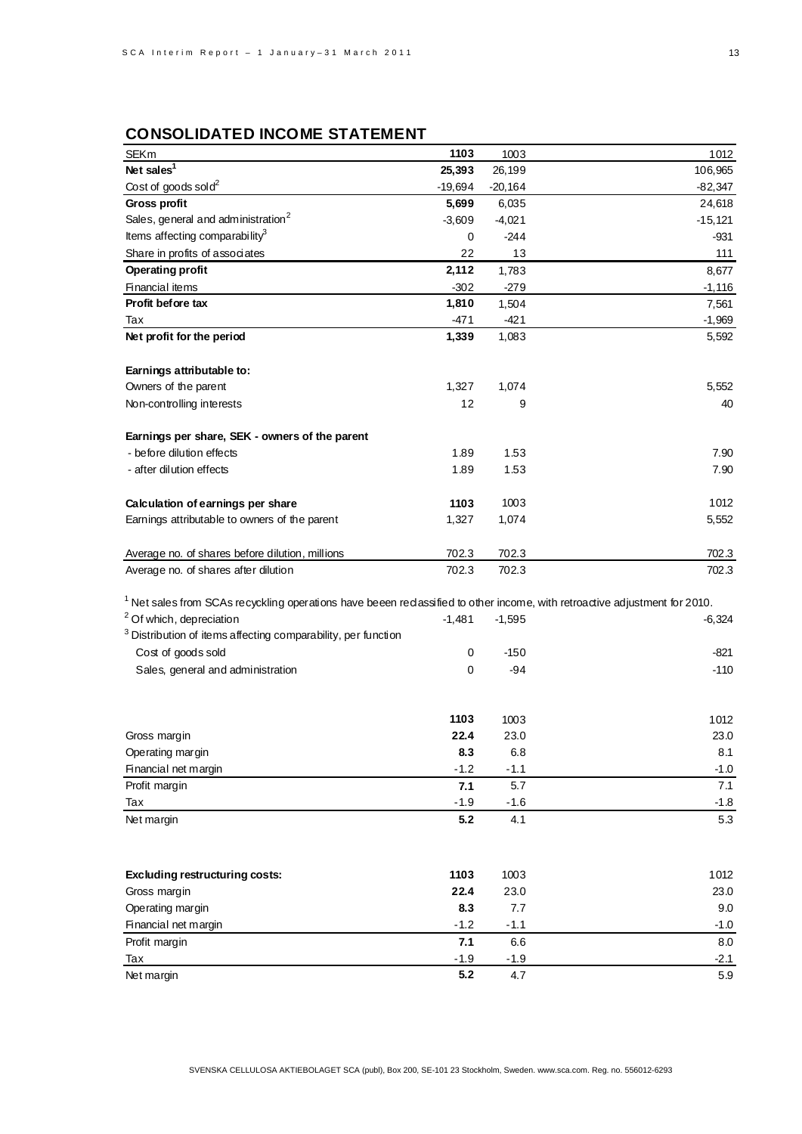# **CONSOLIDATED INCOME STATEMENT**

| <b>SEKm</b>                                                                                                                 | 1103      | 1003      | 1012      |
|-----------------------------------------------------------------------------------------------------------------------------|-----------|-----------|-----------|
| Net sales <sup>1</sup>                                                                                                      | 25,393    | 26,199    | 106,965   |
| Cost of goods sold <sup>2</sup>                                                                                             | $-19,694$ | $-20,164$ | $-82,347$ |
| <b>Gross profit</b>                                                                                                         | 5,699     | 6,035     | 24,618    |
| Sales, general and administration <sup>2</sup>                                                                              | $-3,609$  | $-4,021$  | $-15,121$ |
| Items affecting comparability <sup>3</sup>                                                                                  | 0         | $-244$    | $-931$    |
| Share in profits of associates                                                                                              | 22        | 13        | 111       |
| <b>Operating profit</b>                                                                                                     | 2,112     | 1,783     | 8,677     |
| Financial items                                                                                                             | $-302$    | $-279$    | $-1,116$  |
| Profit before tax                                                                                                           | 1,810     | 1,504     | 7,561     |
| Tax                                                                                                                         | $-471$    | $-421$    | $-1,969$  |
| Net profit for the period                                                                                                   | 1,339     | 1,083     | 5,592     |
|                                                                                                                             |           |           |           |
| Earnings attributable to:                                                                                                   |           |           |           |
| Owners of the parent                                                                                                        | 1,327     | 1,074     | 5,552     |
| Non-controlling interests                                                                                                   | 12        | 9         | 40        |
|                                                                                                                             |           |           |           |
| Earnings per share, SEK - owners of the parent                                                                              |           |           |           |
| - before dilution effects                                                                                                   | 1.89      | 1.53      | 7.90      |
| - after dilution effects                                                                                                    | 1.89      | 1.53      | 7.90      |
|                                                                                                                             |           |           |           |
| Calculation of earnings per share                                                                                           | 1103      | 1003      | 1012      |
| Earnings attributable to owners of the parent                                                                               | 1,327     | 1,074     | 5,552     |
|                                                                                                                             |           |           |           |
| Average no. of shares before dilution, millions                                                                             | 702.3     | 702.3     | 702.3     |
| Average no. of shares after dilution                                                                                        | 702.3     | 702.3     | 702.3     |
|                                                                                                                             |           |           |           |
| $1$ Net sales from SCAs recyckling operations have beeen redassified to other income, with retroactive adjustment for 2010. |           |           |           |
| <sup>2</sup> Of which, depreciation                                                                                         | $-1,481$  | $-1,595$  | $-6,324$  |
| <sup>3</sup> Distribution of items affecting comparability, per function                                                    |           |           |           |
| Cost of goods sold                                                                                                          | 0         | $-150$    | -821      |
| Sales, general and administration                                                                                           | 0         | $-94$     | $-110$    |
|                                                                                                                             |           |           |           |
|                                                                                                                             |           |           |           |
|                                                                                                                             | 1103      | 1003      | 1012      |
| Gross margin                                                                                                                | 22.4      | 23.0      | 23.0      |
| Operating margin                                                                                                            | 8.3       | 6.8       | 8.1       |
| Financial net margin                                                                                                        | $-1.2$    | $-1.1$    | $-1.0$    |
| Profit margin                                                                                                               | 7.1       | 5.7       | 7.1       |
| Tax                                                                                                                         | $-1.9$    | $-1.6$    | $-1.8$    |
| Net margin                                                                                                                  | 5.2       | 4.1       | 5.3       |
|                                                                                                                             |           |           |           |
|                                                                                                                             |           |           |           |
| <b>Excluding restructuring costs:</b>                                                                                       | 1103      | 1003      | 1012      |
| Gross margin                                                                                                                | 22.4      | 23.0      | 23.0      |
| Operating margin                                                                                                            | 8.3       | 7.7       | 9.0       |
| Financial net margin                                                                                                        |           |           |           |
|                                                                                                                             | $-1.2$    | $-1.1$    | $-1.0$    |
| Profit margin                                                                                                               | 7.1       | 6.6       | 8.0       |
| Tax                                                                                                                         | $-1.9$    | $-1.9$    | $-2.1$    |
| Net margin                                                                                                                  | 5.2       | 4.7       | 5.9       |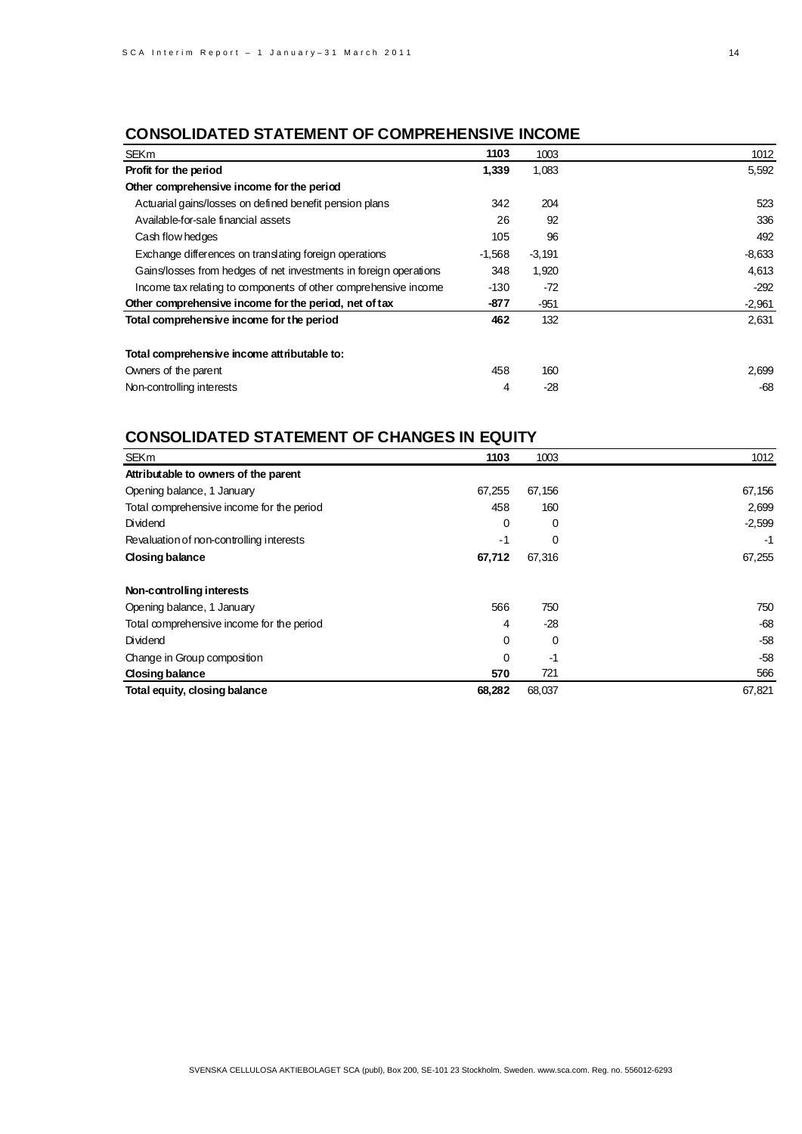# **CONSOLIDATED STATEMENT OF COMPREHENSIVE INCOME**

| <b>SEKm</b>                                                       | 1103     | 1003     | 1012     |
|-------------------------------------------------------------------|----------|----------|----------|
| Profit for the period                                             | 1,339    | 1,083    | 5,592    |
| Other comprehensive income for the period                         |          |          |          |
| Actuarial gains/losses on defined benefit pension plans           | 342      | 204      | 523      |
| Available-for-sale financial assets                               | 26       | 92       | 336      |
| Cash flow hedges                                                  | 105      | 96       | 492      |
| Exchange differences on translating foreign operations            | $-1,568$ | $-3,191$ | $-8,633$ |
| Gains/losses from hedges of net investments in foreign operations | 348      | 1,920    | 4,613    |
| Income tax relating to components of other comprehensive income   | -130     | $-72$    | $-292$   |
| Other comprehensive income for the period, net of tax             | $-877$   | $-951$   | $-2,961$ |
| Total comprehensive income for the period                         | 462      | 132      | 2,631    |
| Total comprehensive income attributable to:                       |          |          |          |
| Owners of the parent                                              | 458      | 160      | 2,699    |
| Non-controlling interests                                         | 4        | $-28$    | -68      |

# **CONSOLIDATED STATEMENT OF CHANGES IN EQUITY**

| <b>SEKm</b>                               | 1103     | 1003   | 1012     |
|-------------------------------------------|----------|--------|----------|
| Attributable to owners of the parent      |          |        |          |
| Opening balance, 1 January                | 67,255   | 67,156 | 67,156   |
| Total comprehensive income for the period | 458      | 160    | 2,699    |
| Dividend                                  | 0        | 0      | $-2,599$ |
| Revaluation of non-controlling interests  | -1       | 0      | -1       |
| Closing balance                           | 67,712   | 67,316 | 67,255   |
| Non-controlling interests                 |          |        |          |
| Opening balance, 1 January                | 566      | 750    | 750      |
| Total comprehensive income for the period | 4        | $-28$  | $-68$    |
| Dividend                                  | 0        | 0      | $-58$    |
| Change in Group composition               | $\Omega$ | -1     | $-58$    |
| Closing balance                           | 570      | 721    | 566      |
| Total equity, closing balance             | 68,282   | 68,037 | 67,821   |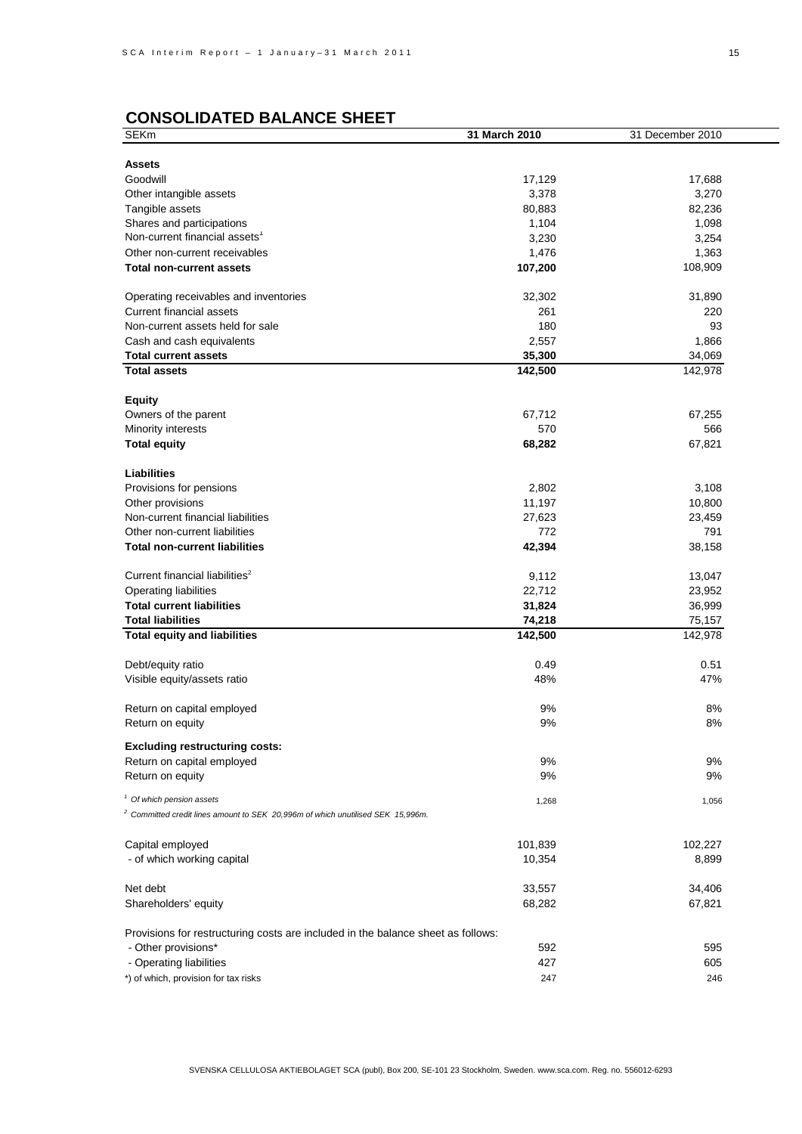# **CONSOLIDATED BALANCE SHEET**

| <b>SEKm</b>                                                                                | 31 March 2010 | 31 December 2010 |
|--------------------------------------------------------------------------------------------|---------------|------------------|
|                                                                                            |               |                  |
| <b>Assets</b>                                                                              |               |                  |
| Goodwill                                                                                   | 17,129        | 17,688           |
| Other intangible assets                                                                    | 3,378         | 3,270            |
| Tangible assets                                                                            | 80,883        | 82,236           |
| Shares and participations                                                                  | 1,104         | 1,098            |
| Non-current financial assets <sup>1</sup>                                                  | 3,230         | 3,254            |
| Other non-current receivables                                                              | 1,476         | 1,363            |
| <b>Total non-current assets</b>                                                            | 107,200       | 108,909          |
|                                                                                            |               |                  |
| Operating receivables and inventories                                                      | 32,302        | 31,890           |
| <b>Current financial assets</b>                                                            | 261           | 220              |
| Non-current assets held for sale                                                           | 180           | 93               |
| Cash and cash equivalents                                                                  | 2,557         | 1,866            |
| <b>Total current assets</b>                                                                | 35,300        | 34,069           |
| <b>Total assets</b>                                                                        | 142,500       | 142,978          |
|                                                                                            |               |                  |
| <b>Equity</b>                                                                              |               |                  |
| Owners of the parent                                                                       | 67,712        | 67,255           |
| Minority interests                                                                         | 570           | 566              |
| <b>Total equity</b>                                                                        | 68,282        | 67,821           |
|                                                                                            |               |                  |
| <b>Liabilities</b>                                                                         |               |                  |
|                                                                                            |               |                  |
| Provisions for pensions                                                                    | 2,802         | 3,108            |
| Other provisions                                                                           | 11,197        | 10,800           |
| Non-current financial liabilities                                                          | 27,623        | 23,459           |
| Other non-current liabilities                                                              | 772           | 791              |
| <b>Total non-current liabilities</b>                                                       | 42,394        | 38,158           |
|                                                                                            |               |                  |
| Current financial liabilities <sup>2</sup>                                                 | 9,112         | 13,047           |
| Operating liabilities                                                                      | 22,712        | 23,952           |
| <b>Total current liabilities</b>                                                           | 31,824        | 36,999           |
| <b>Total liabilities</b>                                                                   | 74,218        | 75,157           |
| <b>Total equity and liabilities</b>                                                        | 142,500       | 142,978          |
|                                                                                            |               |                  |
| Debt/equity ratio                                                                          | 0.49          | 0.51             |
| Visible equity/assets ratio                                                                | 48%           | 47%              |
|                                                                                            |               |                  |
| Return on capital employed                                                                 | 9%            | 8%               |
| Return on equity                                                                           | 9%            | 8%               |
|                                                                                            |               |                  |
| <b>Excluding restructuring costs:</b>                                                      | 9%            | 9%               |
| Return on capital employed                                                                 | 9%            | 9%               |
| Return on equity                                                                           |               |                  |
| <sup>1</sup> Of which pension assets                                                       | 1,268         | 1,056            |
| <sup>2</sup> Committed credit lines amount to SEK 20,996m of which unutilised SEK 15,996m. |               |                  |
|                                                                                            |               |                  |
| Capital employed                                                                           | 101,839       | 102,227          |
| - of which working capital                                                                 | 10,354        | 8,899            |
|                                                                                            |               |                  |
| Net debt                                                                                   | 33,557        | 34,406           |
| Shareholders' equity                                                                       | 68,282        | 67,821           |
|                                                                                            |               |                  |
| Provisions for restructuring costs are included in the balance sheet as follows:           |               |                  |
|                                                                                            | 592           | 595              |
| - Other provisions*                                                                        | 427           |                  |
| - Operating liabilities                                                                    |               | 605              |
| *) of which, provision for tax risks                                                       | 247           | 246              |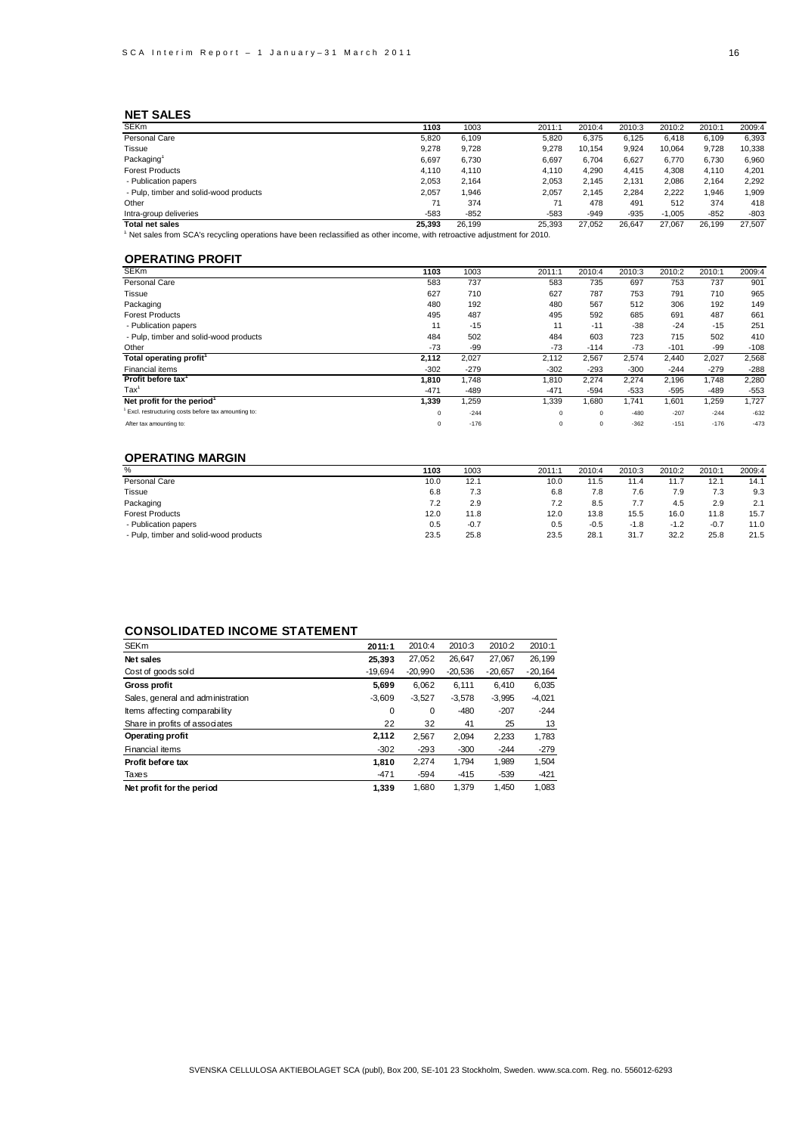## **NET SALES**

| <b>SEKm</b>                                                                                                                        | 1103   | 1003   | 2011:1 | 2010:4 | 2010:3 | 2010:2   | 2010:1 | 2009:4 |
|------------------------------------------------------------------------------------------------------------------------------------|--------|--------|--------|--------|--------|----------|--------|--------|
| Personal Care                                                                                                                      | 5.820  | 6,109  | 5.820  | 6.375  | 6,125  | 6.418    | 6.109  | 6.393  |
| Tissue                                                                                                                             | 9.278  | 9.728  | 9.278  | 10.154 | 9,924  | 10.064   | 9,728  | 10,338 |
| Packaging <sup>1</sup>                                                                                                             | 6.697  | 6,730  | 6,697  | 6.704  | 6,627  | 6.770    | 6,730  | 6,960  |
| <b>Forest Products</b>                                                                                                             | 4.110  | 4.110  | 4.110  | 4.290  | 4.415  | 4,308    | 4.110  | 4,201  |
| - Publication papers                                                                                                               | 2.053  | 2.164  | 2.053  | 2.145  | 2.131  | 2.086    | 2.164  | 2,292  |
| - Pulp, timber and solid-wood products                                                                                             | 2.057  | 1,946  | 2,057  | 2.145  | 2,284  | 2,222    | .946   | ,909   |
| Other                                                                                                                              | 71     | 374    | 71     | 478    | 491    | 512      | 374    | 418    |
| Intra-group deliveries                                                                                                             | $-583$ | $-852$ | $-583$ | -949   | $-935$ | $-1.005$ | $-852$ | $-803$ |
| Total net sales                                                                                                                    | 25.393 | 26.199 | 25.393 | 27.052 | 26.647 | 27.067   | 26.199 | 27.507 |
| $\mu$ Net eqlec from SCA's requaling operations have been realgesified as other income, with retrogative adjustment for 2010 $\mu$ |        |        |        |        |        |          |        |        |

Net sales from SCA's recycling operations have been reclassified as other income, with retroactive adjustment for 2010.

## **OPERATING PROFIT**

| 1103        | 1003   | 2011:1      | 2010:4      | 2010:3 | 2010:2 | 2010:1 | 2009:4 |
|-------------|--------|-------------|-------------|--------|--------|--------|--------|
| 583         | 737    | 583         | 735         | 697    | 753    | 737    | 901    |
| 627         | 710    | 627         | 787         | 753    | 791    | 710    | 965    |
| 480         | 192    | 480         | 567         | 512    | 306    | 192    | 149    |
| 495         | 487    | 495         | 592         | 685    | 691    | 487    | 661    |
| 11          | $-15$  | 11          | $-11$       | $-38$  | $-24$  | $-15$  | 251    |
| 484         | 502    | 484         | 603         | 723    | 715    | 502    | 410    |
| $-73$       | -99    | $-73$       | $-114$      | $-73$  | $-101$ | -99    | $-108$ |
| 2,112       | 2,027  | 2.112       | 2,567       | 2,574  | 2.440  | 2,027  | 2,568  |
| $-302$      | $-279$ | $-302$      | $-293$      | $-300$ | $-244$ | $-279$ | $-288$ |
| 1.810       | 1.748  | .810        | 2,274       | 2,274  | 2.196  | 1.748  | 2,280  |
| $-471$      | $-489$ | $-471$      | $-594$      | $-533$ | $-595$ | $-489$ | $-553$ |
| 1,339       | 1,259  | .339        | 1.680       | 1.741  | 1,601  | 1,259  | 1,727  |
| $\mathbf 0$ | $-244$ | $\mathbf 0$ | $^{\circ}$  | $-480$ | $-207$ | $-244$ | $-632$ |
| 0           | $-176$ | $\mathbf 0$ | $\mathbf 0$ | $-362$ | $-151$ | $-176$ | $-473$ |
|             |        |             |             |        |        |        |        |

### **OPERATING MARGIN**

| %                                      | 1103 | 1003   | 2011:1 | 2010:4 | 2010:3 | 2010:2 | 2010:1 | 2009:4 |
|----------------------------------------|------|--------|--------|--------|--------|--------|--------|--------|
| Personal Care                          | 10.0 | 12.1   | 10.0   | 11.5   | 11.4   | 11.7   | 12.1   | 14.1   |
| <b>Tissue</b>                          | 6.8  | 7.3    | 6.8    | 7.8    | 7.6    | 7.9    | 7.3    | 9.3    |
| Packaging                              | 7.2  | 2.9    | 7.2    | 8.5    | 7.7    | 4.5    | 2.9    | 2.1    |
| <b>Forest Products</b>                 | 12.0 | 11.8   | 12.0   | 13.8   | 15.5   | 16.0   | 11.8   | 15.7   |
| - Publication papers                   | 0.5  | $-0.7$ | 0.5    | $-0.5$ | $-1.8$ | $-1.2$ | $-0.7$ | 11.0   |
| - Pulp, timber and solid-wood products | 23.5 | 25.8   | 23.5   | 28.1   | 31.7   | 32.2   | 25.8   | 21.5   |
|                                        |      |        |        |        |        |        |        |        |

### **CONSOLIDATED INCOME STATEMENT**

| <b>SEKm</b>                       | 2011:1    | 2010:4    | 2010:3    | 2010:2    | 2010:1    |
|-----------------------------------|-----------|-----------|-----------|-----------|-----------|
| Net sales                         | 25,393    | 27,052    | 26,647    | 27.067    | 26,199    |
| Cost of goods sold                | $-19.694$ | $-20.990$ | $-20.536$ | $-20.657$ | $-20.164$ |
| Gross profit                      | 5,699     | 6.062     | 6,111     | 6.410     | 6,035     |
| Sales, general and administration | $-3,609$  | $-3,527$  | $-3,578$  | $-3,995$  | $-4,021$  |
| Items affecting comparability     | 0         | 0         | $-480$    | $-207$    | $-244$    |
| Share in profits of associates    | 22        | 32        | 41        | 25        | 13        |
| Operating profit                  | 2,112     | 2.567     | 2.094     | 2,233     | 1,783     |
| Financial items                   | $-302$    | $-293$    | $-300$    | $-244$    | $-279$    |
| Profit before tax                 | 1.810     | 2.274     | 1.794     | 1.989     | 1,504     |
| Taxes                             | $-471$    | $-594$    | $-415$    | $-539$    | $-421$    |
| Net profit for the period         | 1.339     | 1.680     | 1.379     | 1.450     | 1.083     |